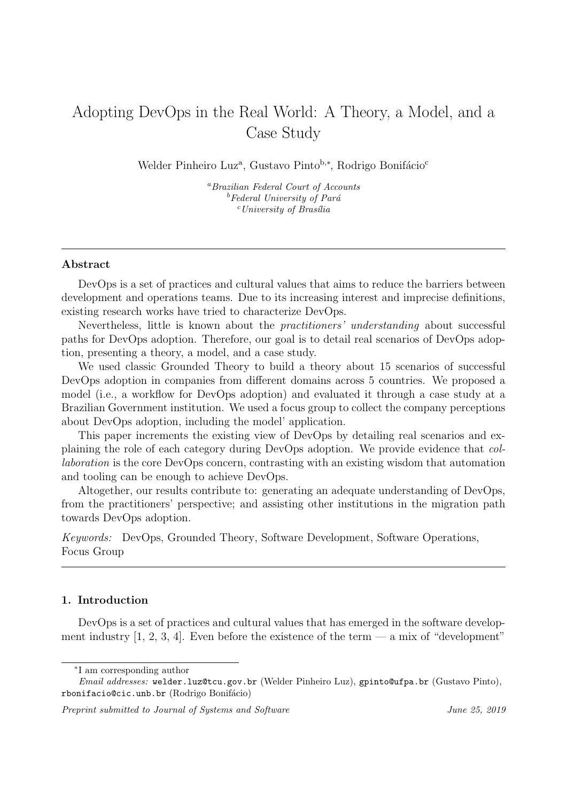# Adopting DevOps in the Real World: A Theory, a Model, and a Case Study

Welder Pinheiro Luz<sup>a</sup>, Gustavo Pinto<sup>b,\*</sup>, Rodrigo Bonifácio<sup>c</sup>

<sup>a</sup>Brazilian Federal Court of Accounts  $b$ Federal University of Pará  $c$ University of Brasília

# Abstract

DevOps is a set of practices and cultural values that aims to reduce the barriers between development and operations teams. Due to its increasing interest and imprecise definitions, existing research works have tried to characterize DevOps.

Nevertheless, little is known about the practitioners' understanding about successful paths for DevOps adoption. Therefore, our goal is to detail real scenarios of DevOps adoption, presenting a theory, a model, and a case study.

We used classic Grounded Theory to build a theory about 15 scenarios of successful DevOps adoption in companies from different domains across 5 countries. We proposed a model (i.e., a workflow for DevOps adoption) and evaluated it through a case study at a Brazilian Government institution. We used a focus group to collect the company perceptions about DevOps adoption, including the model' application.

This paper increments the existing view of DevOps by detailing real scenarios and explaining the role of each category during DevOps adoption. We provide evidence that collaboration is the core DevOps concern, contrasting with an existing wisdom that automation and tooling can be enough to achieve DevOps.

Altogether, our results contribute to: generating an adequate understanding of DevOps, from the practitioners' perspective; and assisting other institutions in the migration path towards DevOps adoption.

Keywords: DevOps, Grounded Theory, Software Development, Software Operations, Focus Group

# 1. Introduction

DevOps is a set of practices and cultural values that has emerged in the software development industry  $[1, 2, 3, 4]$ . Even before the existence of the term — a mix of "development"

<sup>∗</sup> I am corresponding author

Email addresses: welder.luz@tcu.gov.br (Welder Pinheiro Luz), gpinto@ufpa.br (Gustavo Pinto), rbonifacio@cic.unb.br (Rodrigo Bonifácio)

Preprint submitted to Journal of Systems and Software June 25, 2019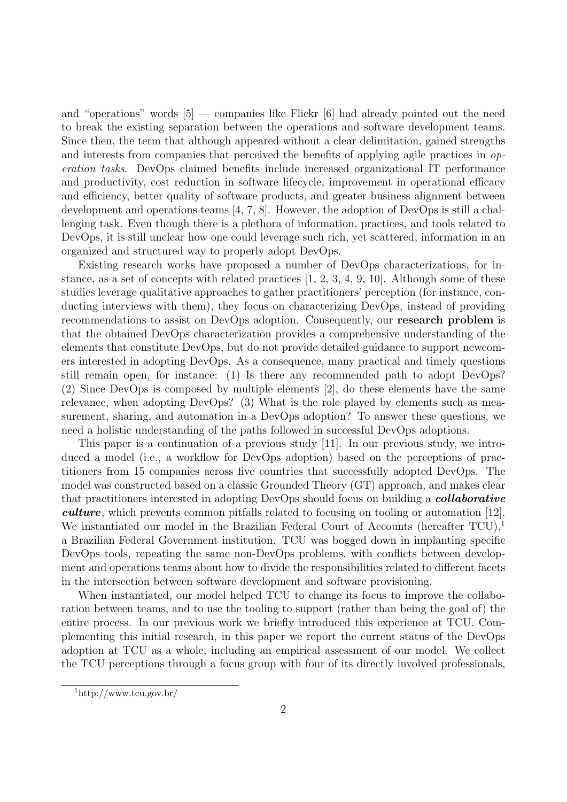and "operations" words  $[5]$  — companies like Flickr  $[6]$  had already pointed out the need to break the existing separation between the operations and software development teams. Since then, the term that although appeared without a clear delimitation, gained strengths and interests from companies that perceived the benefits of applying agile practices in operation tasks. DevOps claimed benefits include increased organizational IT performance and productivity, cost reduction in software lifecycle, improvement in operational efficacy and efficiency, better quality of software products, and greater business alignment between development and operations teams [4, 7, 8]. However, the adoption of DevOps is still a challenging task. Even though there is a plethora of information, practices, and tools related to DevOps, it is still unclear how one could leverage such rich, yet scattered, information in an organized and structured way to properly adopt DevOps.

Existing research works have proposed a number of DevOps characterizations, for instance, as a set of concepts with related practices  $[1, 2, 3, 4, 9, 10]$ . Although some of these studies leverage qualitative approaches to gather practitioners' perception (for instance, conducting interviews with them), they focus on characterizing DevOps, instead of providing recommendations to assist on DevOps adoption. Consequently, our research problem is that the obtained DevOps characterization provides a comprehensive understanding of the elements that constitute DevOps, but do not provide detailed guidance to support newcomers interested in adopting DevOps. As a consequence, many practical and timely questions still remain open, for instance: (1) Is there any recommended path to adopt DevOps? (2) Since DevOps is composed by multiple elements [2], do these elements have the same relevance, when adopting DevOps? (3) What is the role played by elements such as measurement, sharing, and automation in a DevOps adoption? To answer these questions, we need a holistic understanding of the paths followed in successful DevOps adoptions.

This paper is a continuation of a previous study [11]. In our previous study, we introduced a model (i.e., a workflow for DevOps adoption) based on the perceptions of practitioners from 15 companies across five countries that successfully adopted DevOps. The model was constructed based on a classic Grounded Theory (GT) approach, and makes clear that practitioners interested in adopting DevOps should focus on building a **collaborative** culture, which prevents common pitfalls related to focusing on tooling or automation [12]. We instantiated our model in the Brazilian Federal Court of Accounts (hereafter TCU),<sup>1</sup> a Brazilian Federal Government institution. TCU was bogged down in implanting specific DevOps tools, repeating the same non-DevOps problems, with conflicts between development and operations teams about how to divide the responsibilities related to different facets in the intersection between software development and software provisioning.

When instantiated, our model helped TCU to change its focus to improve the collaboration between teams, and to use the tooling to support (rather than being the goal of) the entire process. In our previous work we briefly introduced this experience at TCU. Complementing this initial research, in this paper we report the current status of the DevOps adoption at TCU as a whole, including an empirical assessment of our model. We collect the TCU perceptions through a focus group with four of its directly involved professionals,

<sup>1</sup>http://www.tcu.gov.br/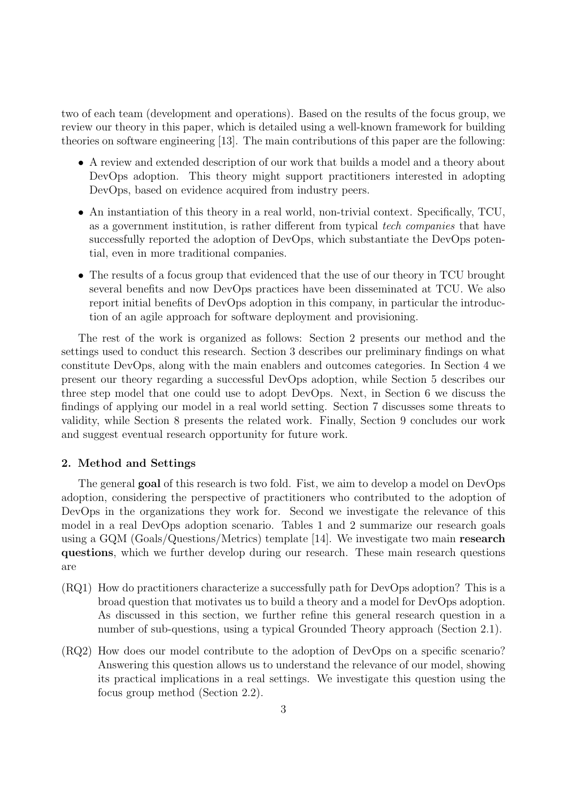two of each team (development and operations). Based on the results of the focus group, we review our theory in this paper, which is detailed using a well-known framework for building theories on software engineering [13]. The main contributions of this paper are the following:

- A review and extended description of our work that builds a model and a theory about DevOps adoption. This theory might support practitioners interested in adopting DevOps, based on evidence acquired from industry peers.
- An instantiation of this theory in a real world, non-trivial context. Specifically, TCU, as a government institution, is rather different from typical tech companies that have successfully reported the adoption of DevOps, which substantiate the DevOps potential, even in more traditional companies.
- The results of a focus group that evidenced that the use of our theory in TCU brought several benefits and now DevOps practices have been disseminated at TCU. We also report initial benefits of DevOps adoption in this company, in particular the introduction of an agile approach for software deployment and provisioning.

The rest of the work is organized as follows: Section 2 presents our method and the settings used to conduct this research. Section 3 describes our preliminary findings on what constitute DevOps, along with the main enablers and outcomes categories. In Section 4 we present our theory regarding a successful DevOps adoption, while Section 5 describes our three step model that one could use to adopt DevOps. Next, in Section 6 we discuss the findings of applying our model in a real world setting. Section 7 discusses some threats to validity, while Section 8 presents the related work. Finally, Section 9 concludes our work and suggest eventual research opportunity for future work.

## 2. Method and Settings

The general **goal** of this research is two fold. Fist, we aim to develop a model on DevOps adoption, considering the perspective of practitioners who contributed to the adoption of DevOps in the organizations they work for. Second we investigate the relevance of this model in a real DevOps adoption scenario. Tables 1 and 2 summarize our research goals using a GQM (Goals/Questions/Metrics) template [14]. We investigate two main research questions, which we further develop during our research. These main research questions are

- (RQ1) How do practitioners characterize a successfully path for DevOps adoption? This is a broad question that motivates us to build a theory and a model for DevOps adoption. As discussed in this section, we further refine this general research question in a number of sub-questions, using a typical Grounded Theory approach (Section 2.1).
- (RQ2) How does our model contribute to the adoption of DevOps on a specific scenario? Answering this question allows us to understand the relevance of our model, showing its practical implications in a real settings. We investigate this question using the focus group method (Section 2.2).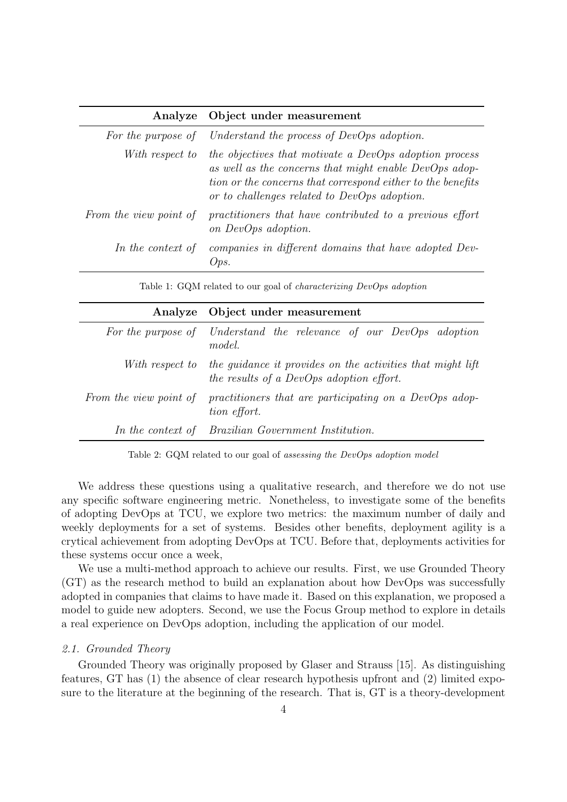|                        | Analyze Object under measurement                                                                                                                                                                                                |
|------------------------|---------------------------------------------------------------------------------------------------------------------------------------------------------------------------------------------------------------------------------|
| For the purpose of     | Understand the process of $DevOps$ adoption.                                                                                                                                                                                    |
| With respect to        | the objectives that motivate a DevOps adoption process<br>as well as the concerns that might enable DevOps adop-<br>tion or the concerns that correspond either to the benefits<br>or to challenges related to DevOps adoption. |
| From the view point of | practitioners that have contributed to a previous effort<br>on DevOps adoption.                                                                                                                                                 |
| In the context of      | companies in different domains that have adopted Dev-<br>Ops.                                                                                                                                                                   |

Table 1: GQM related to our goal of characterizing DevOps adoption

| Analyze Object under measurement                                                                                       |
|------------------------------------------------------------------------------------------------------------------------|
| For the purpose of Understand the relevance of our DevOps adoption<br>model.                                           |
| With respect to the quidance it provides on the activities that might lift<br>the results of a DevOps adoption effort. |
| From the view point of practitioners that are participating on a DevOps adop-<br>tion effort.                          |
| In the context of Brazilian Government Institution.                                                                    |

Table 2: GOM related to our goal of *assessing the DevOps adoption model* 

We address these questions using a qualitative research, and therefore we do not use any specific software engineering metric. Nonetheless, to investigate some of the benefits of adopting DevOps at TCU, we explore two metrics: the maximum number of daily and weekly deployments for a set of systems. Besides other benefits, deployment agility is a crytical achievement from adopting DevOps at TCU. Before that, deployments activities for these systems occur once a week,

We use a multi-method approach to achieve our results. First, we use Grounded Theory (GT) as the research method to build an explanation about how DevOps was successfully adopted in companies that claims to have made it. Based on this explanation, we proposed a model to guide new adopters. Second, we use the Focus Group method to explore in details a real experience on DevOps adoption, including the application of our model.

#### 2.1. Grounded Theory

Grounded Theory was originally proposed by Glaser and Strauss [15]. As distinguishing features, GT has (1) the absence of clear research hypothesis upfront and (2) limited exposure to the literature at the beginning of the research. That is, GT is a theory-development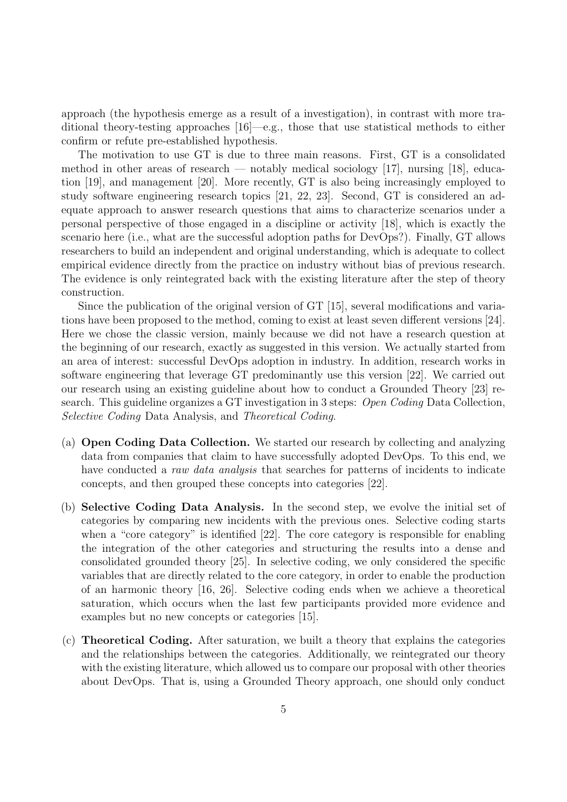approach (the hypothesis emerge as a result of a investigation), in contrast with more traditional theory-testing approaches  $[16]$ —e.g., those that use statistical methods to either confirm or refute pre-established hypothesis.

The motivation to use GT is due to three main reasons. First, GT is a consolidated method in other areas of research — notably medical sociology  $[17]$ , nursing  $[18]$ , education [19], and management [20]. More recently, GT is also being increasingly employed to study software engineering research topics [21, 22, 23]. Second, GT is considered an adequate approach to answer research questions that aims to characterize scenarios under a personal perspective of those engaged in a discipline or activity [18], which is exactly the scenario here (i.e., what are the successful adoption paths for DevOps?). Finally, GT allows researchers to build an independent and original understanding, which is adequate to collect empirical evidence directly from the practice on industry without bias of previous research. The evidence is only reintegrated back with the existing literature after the step of theory construction.

Since the publication of the original version of GT [15], several modifications and variations have been proposed to the method, coming to exist at least seven different versions [24]. Here we chose the classic version, mainly because we did not have a research question at the beginning of our research, exactly as suggested in this version. We actually started from an area of interest: successful DevOps adoption in industry. In addition, research works in software engineering that leverage GT predominantly use this version [22]. We carried out our research using an existing guideline about how to conduct a Grounded Theory [23] research. This guideline organizes a GT investigation in 3 steps: Open Coding Data Collection, Selective Coding Data Analysis, and Theoretical Coding.

- (a) Open Coding Data Collection. We started our research by collecting and analyzing data from companies that claim to have successfully adopted DevOps. To this end, we have conducted a raw data analysis that searches for patterns of incidents to indicate concepts, and then grouped these concepts into categories [22].
- (b) Selective Coding Data Analysis. In the second step, we evolve the initial set of categories by comparing new incidents with the previous ones. Selective coding starts when a "core category" is identified [22]. The core category is responsible for enabling the integration of the other categories and structuring the results into a dense and consolidated grounded theory [25]. In selective coding, we only considered the specific variables that are directly related to the core category, in order to enable the production of an harmonic theory [16, 26]. Selective coding ends when we achieve a theoretical saturation, which occurs when the last few participants provided more evidence and examples but no new concepts or categories [15].
- (c) Theoretical Coding. After saturation, we built a theory that explains the categories and the relationships between the categories. Additionally, we reintegrated our theory with the existing literature, which allowed us to compare our proposal with other theories about DevOps. That is, using a Grounded Theory approach, one should only conduct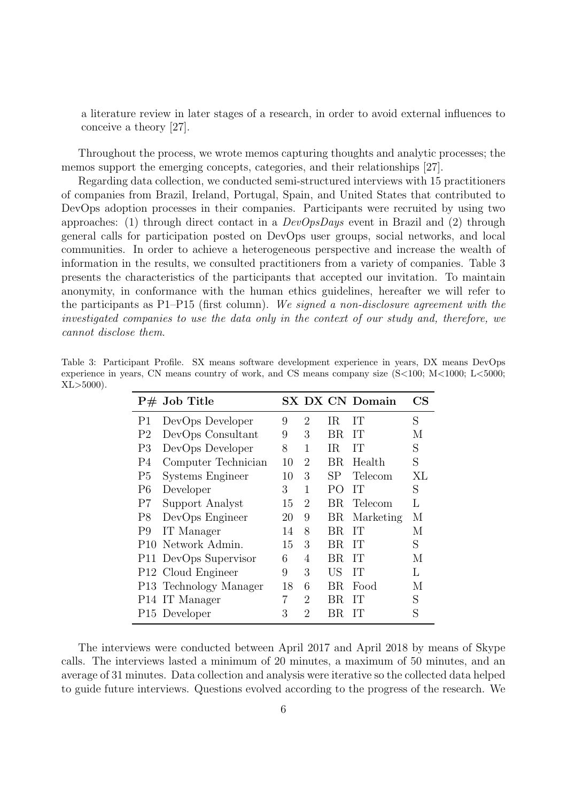a literature review in later stages of a research, in order to avoid external influences to conceive a theory [27].

Throughout the process, we wrote memos capturing thoughts and analytic processes; the memos support the emerging concepts, categories, and their relationships [27].

Regarding data collection, we conducted semi-structured interviews with 15 practitioners of companies from Brazil, Ireland, Portugal, Spain, and United States that contributed to DevOps adoption processes in their companies. Participants were recruited by using two approaches: (1) through direct contact in a  $DevOpsDays$  event in Brazil and (2) through general calls for participation posted on DevOps user groups, social networks, and local communities. In order to achieve a heterogeneous perspective and increase the wealth of information in the results, we consulted practitioners from a variety of companies. Table 3 presents the characteristics of the participants that accepted our invitation. To maintain anonymity, in conformance with the human ethics guidelines, hereafter we will refer to the participants as P1–P15 (first column). We signed a non-disclosure agreement with the investigated companies to use the data only in the context of our study and, therefore, we cannot disclose them.

Table 3: Participant Profile. SX means software development experience in years, DX means DevOps experience in years, CN means country of work, and CS means company size (S<100; M<1000; L<5000;  $XL > 5000$ ).

|                | $P#$ Job Title                 |    |                |     | <b>SX DX CN Domain</b> | CS |
|----------------|--------------------------------|----|----------------|-----|------------------------|----|
| P1             | DevOps Developer               | 9  | $\overline{2}$ | IR. | IT                     | S  |
| P <sub>2</sub> | DevOps Consultant              | 9  | 3              | BR  | IT                     | М  |
| P <sub>3</sub> | DevOps Developer               | 8  | 1              | IR. | IT                     | S  |
| P <sub>4</sub> | Computer Technician            | 10 | $\overline{2}$ | BR  | Health                 | S  |
| P <sub>5</sub> | <b>Systems Engineer</b>        | 10 | 3              | SP  | Telecom                | ΧL |
| P <sub>6</sub> | Developer                      | 3  | 1              | PO. | IТ                     | S  |
| P7             | Support Analyst                | 15 | $\overline{2}$ | BR. | Telecom                | L  |
| P <sub>8</sub> | DevOps Engineer                | 20 | 9              | ΒR  | Marketing              | М  |
| P9             | IT Manager                     | 14 | 8              | ΒR  | IT                     | М  |
|                | P <sub>10</sub> Network Admin. | 15 | 3              | BR  | IT                     | S  |
|                | P11 DevOps Supervisor          | 6  | 4              | ΒR  | IT                     | М  |
|                | P12 Cloud Engineer             | 9  | 3              | US  | IT                     | L  |
|                | P13 Technology Manager         | 18 | 6              | BR  | Food                   | М  |
|                | P14 IT Manager                 |    | $\overline{2}$ | BR. | IT                     | S  |
|                | P15 Developer                  | 3  | $\overline{2}$ | BR. | IT                     | S  |

The interviews were conducted between April 2017 and April 2018 by means of Skype calls. The interviews lasted a minimum of 20 minutes, a maximum of 50 minutes, and an average of 31 minutes. Data collection and analysis were iterative so the collected data helped to guide future interviews. Questions evolved according to the progress of the research. We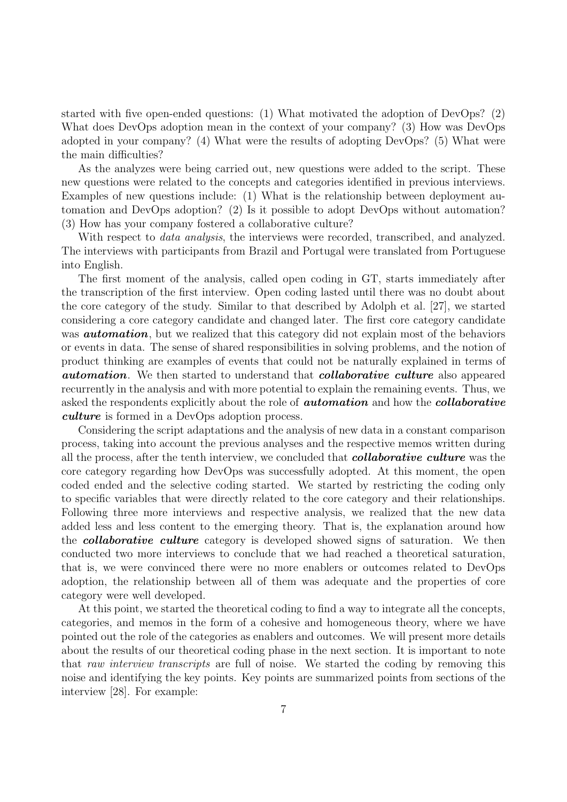started with five open-ended questions: (1) What motivated the adoption of DevOps? (2) What does DevOps adoption mean in the context of your company? (3) How was DevOps adopted in your company? (4) What were the results of adopting DevOps? (5) What were the main difficulties?

As the analyzes were being carried out, new questions were added to the script. These new questions were related to the concepts and categories identified in previous interviews. Examples of new questions include: (1) What is the relationship between deployment automation and DevOps adoption? (2) Is it possible to adopt DevOps without automation? (3) How has your company fostered a collaborative culture?

With respect to *data analysis*, the interviews were recorded, transcribed, and analyzed. The interviews with participants from Brazil and Portugal were translated from Portuguese into English.

The first moment of the analysis, called open coding in GT, starts immediately after the transcription of the first interview. Open coding lasted until there was no doubt about the core category of the study. Similar to that described by Adolph et al. [27], we started considering a core category candidate and changed later. The first core category candidate was **automation**, but we realized that this category did not explain most of the behaviors or events in data. The sense of shared responsibilities in solving problems, and the notion of product thinking are examples of events that could not be naturally explained in terms of **automation**. We then started to understand that *collaborative culture* also appeared recurrently in the analysis and with more potential to explain the remaining events. Thus, we asked the respondents explicitly about the role of **automation** and how the **collaborative** culture is formed in a DevOps adoption process.

Considering the script adaptations and the analysis of new data in a constant comparison process, taking into account the previous analyses and the respective memos written during all the process, after the tenth interview, we concluded that *collaborative culture* was the core category regarding how DevOps was successfully adopted. At this moment, the open coded ended and the selective coding started. We started by restricting the coding only to specific variables that were directly related to the core category and their relationships. Following three more interviews and respective analysis, we realized that the new data added less and less content to the emerging theory. That is, the explanation around how the **collaborative culture** category is developed showed signs of saturation. We then conducted two more interviews to conclude that we had reached a theoretical saturation, that is, we were convinced there were no more enablers or outcomes related to DevOps adoption, the relationship between all of them was adequate and the properties of core category were well developed.

At this point, we started the theoretical coding to find a way to integrate all the concepts, categories, and memos in the form of a cohesive and homogeneous theory, where we have pointed out the role of the categories as enablers and outcomes. We will present more details about the results of our theoretical coding phase in the next section. It is important to note that raw interview transcripts are full of noise. We started the coding by removing this noise and identifying the key points. Key points are summarized points from sections of the interview [28]. For example: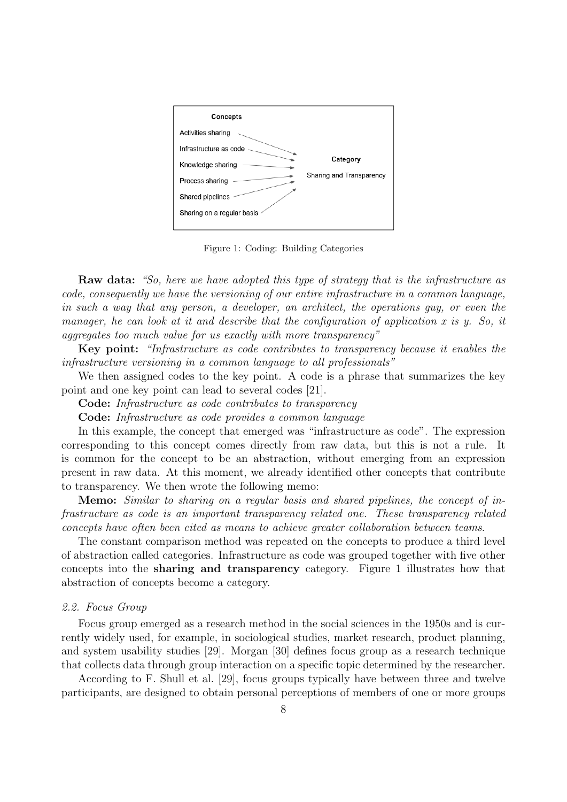

Figure 1: Coding: Building Categories

Raw data: "So, here we have adopted this type of strategy that is the infrastructure as code, consequently we have the versioning of our entire infrastructure in a common language, in such a way that any person, a developer, an architect, the operations guy, or even the manager, he can look at it and describe that the configuration of application x is y. So, it aggregates too much value for us exactly with more transparency"

Key point: "Infrastructure as code contributes to transparency because it enables the infrastructure versioning in a common language to all professionals"

We then assigned codes to the key point. A code is a phrase that summarizes the key point and one key point can lead to several codes [21].

Code: Infrastructure as code contributes to transparency

Code: Infrastructure as code provides a common language

In this example, the concept that emerged was "infrastructure as code". The expression corresponding to this concept comes directly from raw data, but this is not a rule. It is common for the concept to be an abstraction, without emerging from an expression present in raw data. At this moment, we already identified other concepts that contribute to transparency. We then wrote the following memo:

Memo: Similar to sharing on a regular basis and shared pipelines, the concept of infrastructure as code is an important transparency related one. These transparency related concepts have often been cited as means to achieve greater collaboration between teams.

The constant comparison method was repeated on the concepts to produce a third level of abstraction called categories. Infrastructure as code was grouped together with five other concepts into the sharing and transparency category. Figure 1 illustrates how that abstraction of concepts become a category.

#### 2.2. Focus Group

Focus group emerged as a research method in the social sciences in the 1950s and is currently widely used, for example, in sociological studies, market research, product planning, and system usability studies [29]. Morgan [30] defines focus group as a research technique that collects data through group interaction on a specific topic determined by the researcher.

According to F. Shull et al. [29], focus groups typically have between three and twelve participants, are designed to obtain personal perceptions of members of one or more groups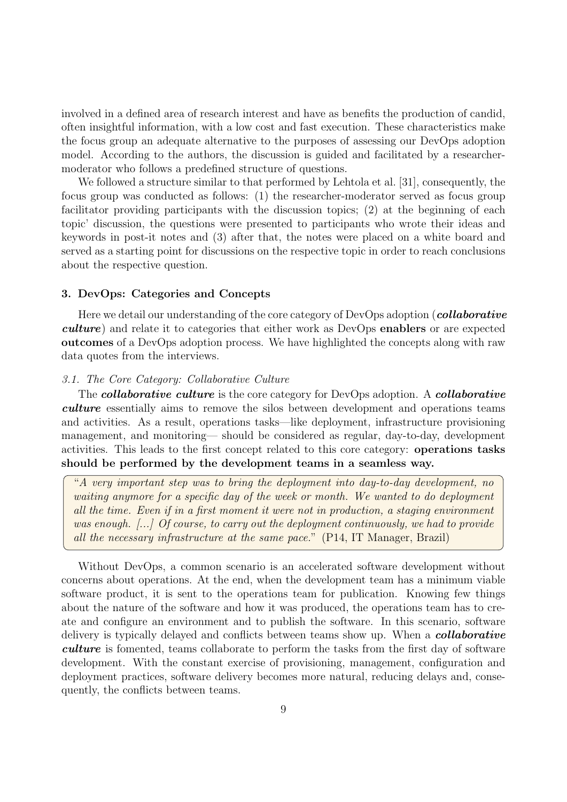involved in a defined area of research interest and have as benefits the production of candid, often insightful information, with a low cost and fast execution. These characteristics make the focus group an adequate alternative to the purposes of assessing our DevOps adoption model. According to the authors, the discussion is guided and facilitated by a researchermoderator who follows a predefined structure of questions.

We followed a structure similar to that performed by Lehtola et al. [31], consequently, the focus group was conducted as follows: (1) the researcher-moderator served as focus group facilitator providing participants with the discussion topics; (2) at the beginning of each topic' discussion, the questions were presented to participants who wrote their ideas and keywords in post-it notes and (3) after that, the notes were placed on a white board and served as a starting point for discussions on the respective topic in order to reach conclusions about the respective question.

#### 3. DevOps: Categories and Concepts

Here we detail our understanding of the core category of DevOps adoption (*collaborative* culture) and relate it to categories that either work as DevOps enablers or are expected outcomes of a DevOps adoption process. We have highlighted the concepts along with raw data quotes from the interviews.

#### 3.1. The Core Category: Collaborative Culture

The **collaborative culture** is the core category for DevOps adoption. A **collaborative** culture essentially aims to remove the silos between development and operations teams and activities. As a result, operations tasks—like deployment, infrastructure provisioning management, and monitoring— should be considered as regular, day-to-day, development activities. This leads to the first concept related to this core category: operations tasks should be performed by the development teams in a seamless way.

"A very important step was to bring the deployment into day-to-day development, no waiting anymore for a specific day of the week or month. We wanted to do deployment all the time. Even if in a first moment it were not in production, a staging environment was enough. [...] Of course, to carry out the deployment continuously, we had to provide all the necessary infrastructure at the same pace." (P14, IT Manager, Brazil)

Without DevOps, a common scenario is an accelerated software development without concerns about operations. At the end, when the development team has a minimum viable software product, it is sent to the operations team for publication. Knowing few things about the nature of the software and how it was produced, the operations team has to create and configure an environment and to publish the software. In this scenario, software delivery is typically delayed and conflicts between teams show up. When a **collaborative** culture is fomented, teams collaborate to perform the tasks from the first day of software development. With the constant exercise of provisioning, management, configuration and deployment practices, software delivery becomes more natural, reducing delays and, consequently, the conflicts between teams.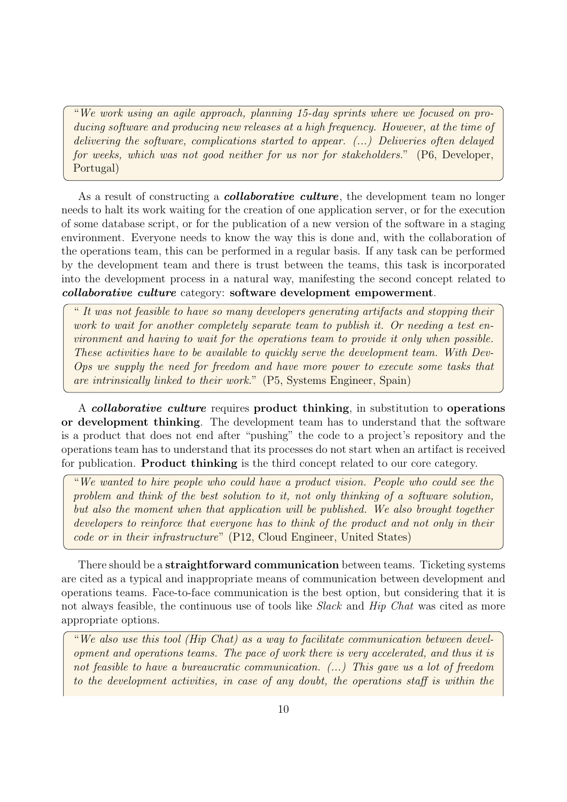"We work using an agile approach, planning 15-day sprints where we focused on producing software and producing new releases at a high frequency. However, at the time of delivering the software, complications started to appear. (...) Deliveries often delayed for weeks, which was not good neither for us nor for stakeholders." (P6, Developer, Portugal)

As a result of constructing a *collaborative culture*, the development team no longer needs to halt its work waiting for the creation of one application server, or for the execution of some database script, or for the publication of a new version of the software in a staging environment. Everyone needs to know the way this is done and, with the collaboration of the operations team, this can be performed in a regular basis. If any task can be performed by the development team and there is trust between the teams, this task is incorporated into the development process in a natural way, manifesting the second concept related to collaborative culture category: software development empowerment.

" It was not feasible to have so many developers generating artifacts and stopping their work to wait for another completely separate team to publish it. Or needing a test environment and having to wait for the operations team to provide it only when possible. These activities have to be available to quickly serve the development team. With Dev-Ops we supply the need for freedom and have more power to execute some tasks that are intrinsically linked to their work." (P5, Systems Engineer, Spain)

A *collaborative culture* requires product thinking, in substitution to operations or development thinking. The development team has to understand that the software is a product that does not end after "pushing" the code to a project's repository and the operations team has to understand that its processes do not start when an artifact is received for publication. Product thinking is the third concept related to our core category.

"We wanted to hire people who could have a product vision. People who could see the problem and think of the best solution to it, not only thinking of a software solution, but also the moment when that application will be published. We also brought together developers to reinforce that everyone has to think of the product and not only in their code or in their infrastructure" (P12, Cloud Engineer, United States)

There should be a **straightforward communication** between teams. Ticketing systems are cited as a typical and inappropriate means of communication between development and operations teams. Face-to-face communication is the best option, but considering that it is not always feasible, the continuous use of tools like *Slack* and *Hip Chat* was cited as more appropriate options.

"We also use this tool (Hip Chat) as a way to facilitate communication between development and operations teams. The pace of work there is very accelerated, and thus it is not feasible to have a bureaucratic communication. (...) This gave us a lot of freedom to the development activities, in case of any doubt, the operations staff is within the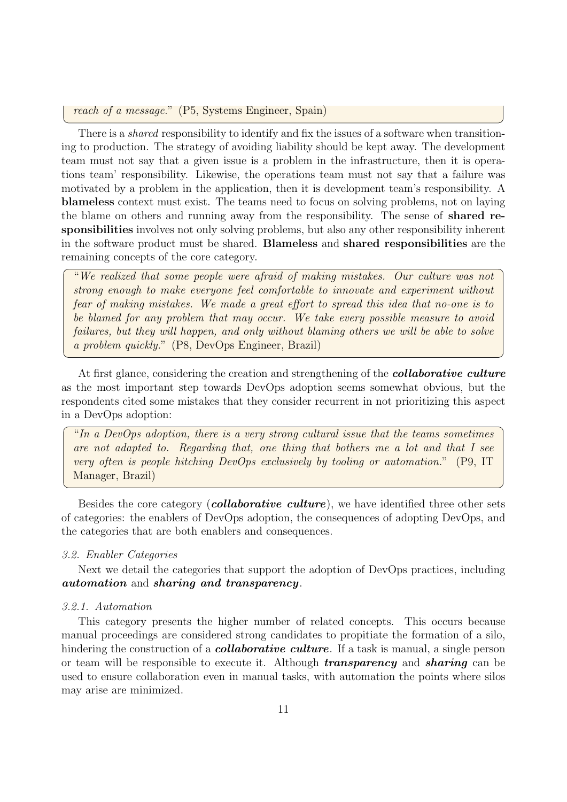reach of a message." (P5, Systems Engineer, Spain)

There is a *shared* responsibility to identify and fix the issues of a software when transitioning to production. The strategy of avoiding liability should be kept away. The development team must not say that a given issue is a problem in the infrastructure, then it is operations team' responsibility. Likewise, the operations team must not say that a failure was motivated by a problem in the application, then it is development team's responsibility. A blameless context must exist. The teams need to focus on solving problems, not on laying the blame on others and running away from the responsibility. The sense of shared responsibilities involves not only solving problems, but also any other responsibility inherent in the software product must be shared. Blameless and shared responsibilities are the remaining concepts of the core category.

"We realized that some people were afraid of making mistakes. Our culture was not strong enough to make everyone feel comfortable to innovate and experiment without fear of making mistakes. We made a great effort to spread this idea that no-one is to be blamed for any problem that may occur. We take every possible measure to avoid failures, but they will happen, and only without blaming others we will be able to solve a problem quickly." (P8, DevOps Engineer, Brazil)

At first glance, considering the creation and strengthening of the **collaborative culture** as the most important step towards DevOps adoption seems somewhat obvious, but the respondents cited some mistakes that they consider recurrent in not prioritizing this aspect in a DevOps adoption:

"In a DevOps adoption, there is a very strong cultural issue that the teams sometimes are not adapted to. Regarding that, one thing that bothers me a lot and that I see very often is people hitching DevOps exclusively by tooling or automation." (P9, IT Manager, Brazil)

Besides the core category (**collaborative culture**), we have identified three other sets of categories: the enablers of DevOps adoption, the consequences of adopting DevOps, and the categories that are both enablers and consequences.

## 3.2. Enabler Categories

Next we detail the categories that support the adoption of DevOps practices, including automation and sharing and transparency.

## 3.2.1. Automation

This category presents the higher number of related concepts. This occurs because manual proceedings are considered strong candidates to propitiate the formation of a silo, hindering the construction of a **collaborative culture**. If a task is manual, a single person or team will be responsible to execute it. Although **transparency** and **sharing** can be used to ensure collaboration even in manual tasks, with automation the points where silos may arise are minimized.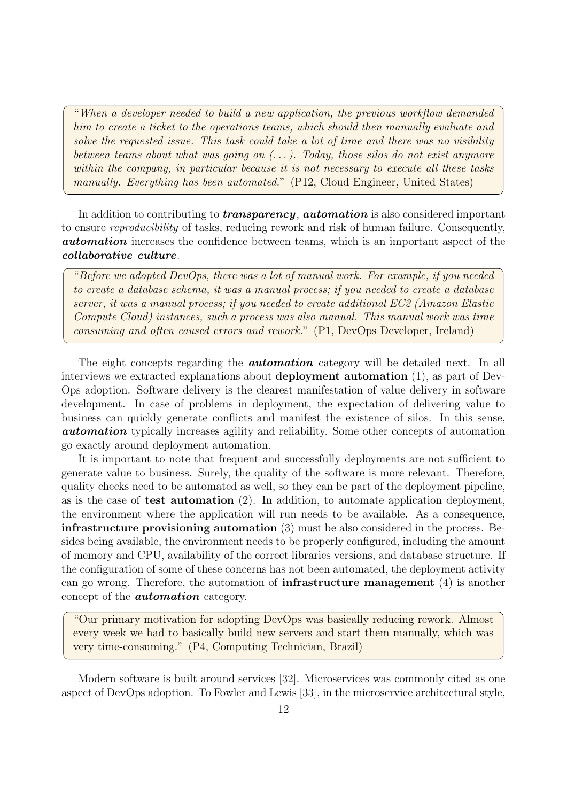"When a developer needed to build a new application, the previous workflow demanded him to create a ticket to the operations teams, which should then manually evaluate and solve the requested issue. This task could take a lot of time and there was no visibility between teams about what was going on  $(...)$ . Today, those silos do not exist anymore within the company, in particular because it is not necessary to execute all these tasks manually. Everything has been automated." (P12, Cloud Engineer, United States)

In addition to contributing to **transparency**, **automation** is also considered important to ensure reproducibility of tasks, reducing rework and risk of human failure. Consequently, **automation** increases the confidence between teams, which is an important aspect of the collaborative culture.

"Before we adopted DevOps, there was a lot of manual work. For example, if you needed to create a database schema, it was a manual process; if you needed to create a database server, it was a manual process; if you needed to create additional EC2 (Amazon Elastic Compute Cloud) instances, such a process was also manual. This manual work was time consuming and often caused errors and rework." (P1, DevOps Developer, Ireland)

The eight concepts regarding the **automation** category will be detailed next. In all interviews we extracted explanations about deployment automation (1), as part of Dev-Ops adoption. Software delivery is the clearest manifestation of value delivery in software development. In case of problems in deployment, the expectation of delivering value to business can quickly generate conflicts and manifest the existence of silos. In this sense, **automation** typically increases agility and reliability. Some other concepts of automation go exactly around deployment automation.

It is important to note that frequent and successfully deployments are not sufficient to generate value to business. Surely, the quality of the software is more relevant. Therefore, quality checks need to be automated as well, so they can be part of the deployment pipeline, as is the case of test automation (2). In addition, to automate application deployment, the environment where the application will run needs to be available. As a consequence, infrastructure provisioning automation (3) must be also considered in the process. Besides being available, the environment needs to be properly configured, including the amount of memory and CPU, availability of the correct libraries versions, and database structure. If the configuration of some of these concerns has not been automated, the deployment activity can go wrong. Therefore, the automation of infrastructure management (4) is another concept of the **automation** category.

"Our primary motivation for adopting DevOps was basically reducing rework. Almost every week we had to basically build new servers and start them manually, which was very time-consuming." (P4, Computing Technician, Brazil)

Modern software is built around services [32]. Microservices was commonly cited as one aspect of DevOps adoption. To Fowler and Lewis [33], in the microservice architectural style,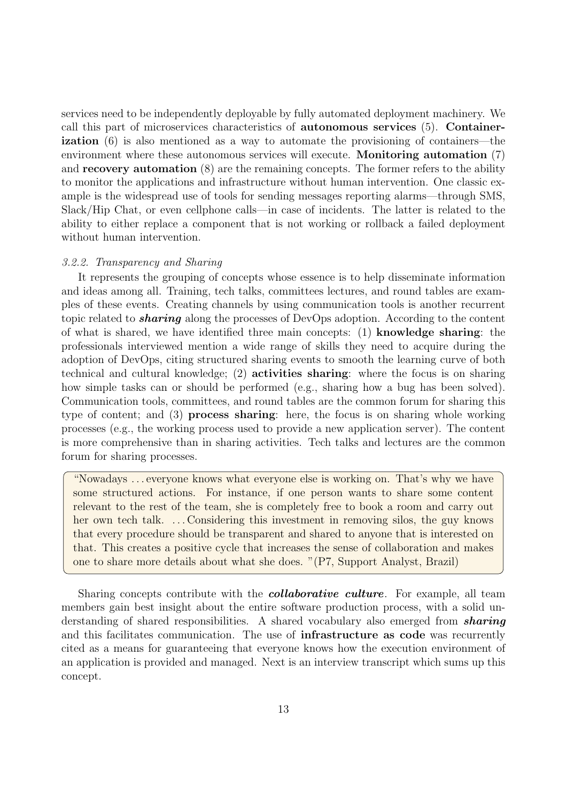services need to be independently deployable by fully automated deployment machinery. We call this part of microservices characteristics of autonomous services (5). Containerization (6) is also mentioned as a way to automate the provisioning of containers—the environment where these autonomous services will execute. Monitoring automation (7) and recovery automation (8) are the remaining concepts. The former refers to the ability to monitor the applications and infrastructure without human intervention. One classic example is the widespread use of tools for sending messages reporting alarms—through SMS, Slack/Hip Chat, or even cellphone calls—in case of incidents. The latter is related to the ability to either replace a component that is not working or rollback a failed deployment without human intervention.

#### 3.2.2. Transparency and Sharing

It represents the grouping of concepts whose essence is to help disseminate information and ideas among all. Training, tech talks, committees lectures, and round tables are examples of these events. Creating channels by using communication tools is another recurrent topic related to **sharing** along the processes of DevOps adoption. According to the content of what is shared, we have identified three main concepts: (1) knowledge sharing: the professionals interviewed mention a wide range of skills they need to acquire during the adoption of DevOps, citing structured sharing events to smooth the learning curve of both technical and cultural knowledge; (2) activities sharing: where the focus is on sharing how simple tasks can or should be performed (e.g., sharing how a bug has been solved). Communication tools, committees, and round tables are the common forum for sharing this type of content; and (3) process sharing: here, the focus is on sharing whole working processes (e.g., the working process used to provide a new application server). The content is more comprehensive than in sharing activities. Tech talks and lectures are the common forum for sharing processes.

"Nowadays . . . everyone knows what everyone else is working on. That's why we have some structured actions. For instance, if one person wants to share some content relevant to the rest of the team, she is completely free to book a room and carry out her own tech talk. . . . Considering this investment in removing silos, the guy knows that every procedure should be transparent and shared to anyone that is interested on that. This creates a positive cycle that increases the sense of collaboration and makes one to share more details about what she does. "(P7, Support Analyst, Brazil)

Sharing concepts contribute with the *collaborative culture*. For example, all team members gain best insight about the entire software production process, with a solid understanding of shared responsibilities. A shared vocabulary also emerged from **sharing** and this facilitates communication. The use of infrastructure as code was recurrently cited as a means for guaranteeing that everyone knows how the execution environment of an application is provided and managed. Next is an interview transcript which sums up this concept.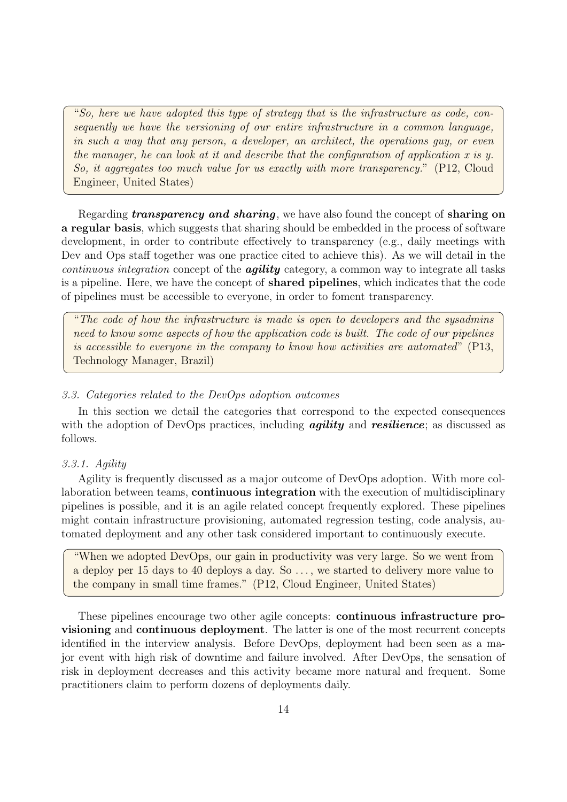"So, here we have adopted this type of strategy that is the infrastructure as code, consequently we have the versioning of our entire infrastructure in a common language, in such a way that any person, a developer, an architect, the operations guy, or even the manager, he can look at it and describe that the configuration of application x is  $y$ . So, it aggregates too much value for us exactly with more transparency." (P12, Cloud Engineer, United States)

Regarding *transparency and sharing*, we have also found the concept of **sharing** on a regular basis, which suggests that sharing should be embedded in the process of software development, in order to contribute effectively to transparency (e.g., daily meetings with Dev and Ops staff together was one practice cited to achieve this). As we will detail in the continuous integration concept of the **agility** category, a common way to integrate all tasks is a pipeline. Here, we have the concept of shared pipelines, which indicates that the code of pipelines must be accessible to everyone, in order to foment transparency.

"The code of how the infrastructure is made is open to developers and the sysadmins need to know some aspects of how the application code is built. The code of our pipelines is accessible to everyone in the company to know how activities are automated" (P13, Technology Manager, Brazil)

## 3.3. Categories related to the DevOps adoption outcomes

In this section we detail the categories that correspond to the expected consequences with the adoption of DevOps practices, including **agility** and **resilience**; as discussed as follows.

# 3.3.1. Agility

Agility is frequently discussed as a major outcome of DevOps adoption. With more collaboration between teams, continuous integration with the execution of multidisciplinary pipelines is possible, and it is an agile related concept frequently explored. These pipelines might contain infrastructure provisioning, automated regression testing, code analysis, automated deployment and any other task considered important to continuously execute.

"When we adopted DevOps, our gain in productivity was very large. So we went from a deploy per 15 days to 40 deploys a day. So . . . , we started to delivery more value to the company in small time frames." (P12, Cloud Engineer, United States)

These pipelines encourage two other agile concepts: continuous infrastructure provisioning and continuous deployment. The latter is one of the most recurrent concepts identified in the interview analysis. Before DevOps, deployment had been seen as a major event with high risk of downtime and failure involved. After DevOps, the sensation of risk in deployment decreases and this activity became more natural and frequent. Some practitioners claim to perform dozens of deployments daily.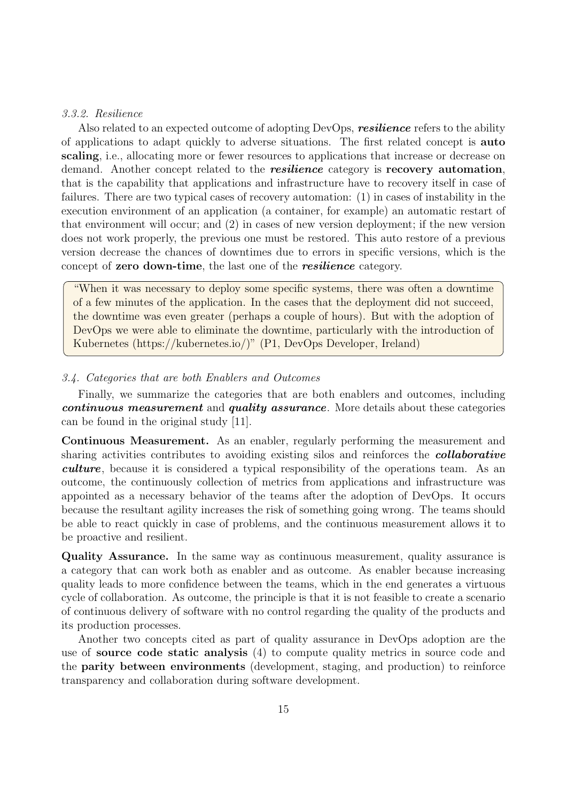## 3.3.2. Resilience

Also related to an expected outcome of adopting DevOps, **resilience** refers to the ability of applications to adapt quickly to adverse situations. The first related concept is auto scaling, i.e., allocating more or fewer resources to applications that increase or decrease on demand. Another concept related to the **resilience** category is **recovery automation**, that is the capability that applications and infrastructure have to recovery itself in case of failures. There are two typical cases of recovery automation: (1) in cases of instability in the execution environment of an application (a container, for example) an automatic restart of that environment will occur; and (2) in cases of new version deployment; if the new version does not work properly, the previous one must be restored. This auto restore of a previous version decrease the chances of downtimes due to errors in specific versions, which is the concept of zero down-time, the last one of the *resilience* category.

"When it was necessary to deploy some specific systems, there was often a downtime of a few minutes of the application. In the cases that the deployment did not succeed, the downtime was even greater (perhaps a couple of hours). But with the adoption of DevOps we were able to eliminate the downtime, particularly with the introduction of Kubernetes (https://kubernetes.io/)" (P1, DevOps Developer, Ireland)

#### 3.4. Categories that are both Enablers and Outcomes

Finally, we summarize the categories that are both enablers and outcomes, including continuous measurement and quality assurance. More details about these categories can be found in the original study [11].

Continuous Measurement. As an enabler, regularly performing the measurement and sharing activities contributes to avoiding existing silos and reinforces the **collaborative** culture, because it is considered a typical responsibility of the operations team. As an outcome, the continuously collection of metrics from applications and infrastructure was appointed as a necessary behavior of the teams after the adoption of DevOps. It occurs because the resultant agility increases the risk of something going wrong. The teams should be able to react quickly in case of problems, and the continuous measurement allows it to be proactive and resilient.

Quality Assurance. In the same way as continuous measurement, quality assurance is a category that can work both as enabler and as outcome. As enabler because increasing quality leads to more confidence between the teams, which in the end generates a virtuous cycle of collaboration. As outcome, the principle is that it is not feasible to create a scenario of continuous delivery of software with no control regarding the quality of the products and its production processes.

Another two concepts cited as part of quality assurance in DevOps adoption are the use of source code static analysis (4) to compute quality metrics in source code and the parity between environments (development, staging, and production) to reinforce transparency and collaboration during software development.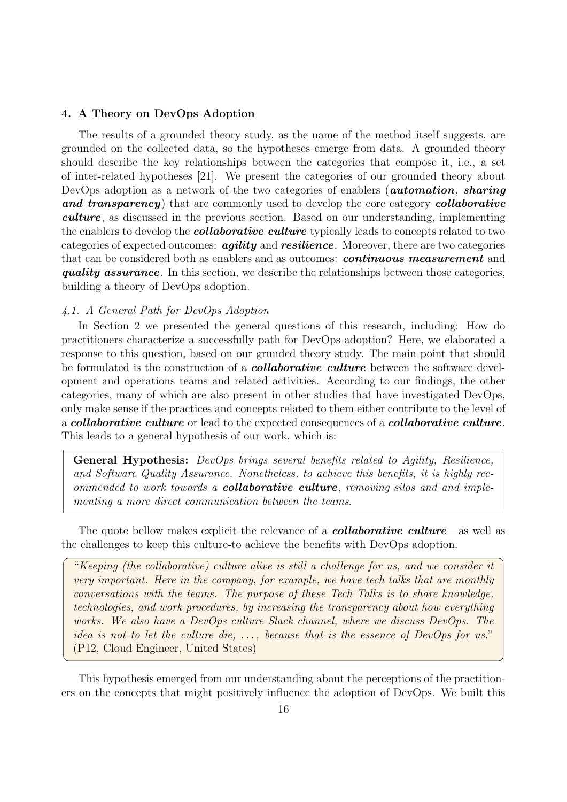# 4. A Theory on DevOps Adoption

The results of a grounded theory study, as the name of the method itself suggests, are grounded on the collected data, so the hypotheses emerge from data. A grounded theory should describe the key relationships between the categories that compose it, i.e., a set of inter-related hypotheses [21]. We present the categories of our grounded theory about DevOps adoption as a network of the two categories of enablers (*automation*, *sharing* and transparency) that are commonly used to develop the core category collaborative culture, as discussed in the previous section. Based on our understanding, implementing the enablers to develop the *collaborative culture* typically leads to concepts related to two categories of expected outcomes: **agility** and **resilience**. Moreover, there are two categories that can be considered both as enablers and as outcomes: *continuous measurement* and quality assurance. In this section, we describe the relationships between those categories, building a theory of DevOps adoption.

## 4.1. A General Path for DevOps Adoption

In Section 2 we presented the general questions of this research, including: How do practitioners characterize a successfully path for DevOps adoption? Here, we elaborated a response to this question, based on our grunded theory study. The main point that should be formulated is the construction of a *collaborative culture* between the software development and operations teams and related activities. According to our findings, the other categories, many of which are also present in other studies that have investigated DevOps, only make sense if the practices and concepts related to them either contribute to the level of a collaborative culture or lead to the expected consequences of a collaborative culture. This leads to a general hypothesis of our work, which is:

General Hypothesis: *DevOps brings several benefits related to Agility, Resilience,* and Software Quality Assurance. Nonetheless, to achieve this benefits, it is highly recommended to work towards a **collaborative culture**, removing silos and and implementing a more direct communication between the teams.

The quote bellow makes explicit the relevance of a **collaborative culture**—as well as the challenges to keep this culture-to achieve the benefits with DevOps adoption.

"Keeping (the collaborative) culture alive is still a challenge for us, and we consider it very important. Here in the company, for example, we have tech talks that are monthly conversations with the teams. The purpose of these Tech Talks is to share knowledge, technologies, and work procedures, by increasing the transparency about how everything works. We also have a DevOps culture Slack channel, where we discuss DevOps. The idea is not to let the culture die,  $\dots$ , because that is the essence of DevOps for us." (P12, Cloud Engineer, United States)

This hypothesis emerged from our understanding about the perceptions of the practitioners on the concepts that might positively influence the adoption of DevOps. We built this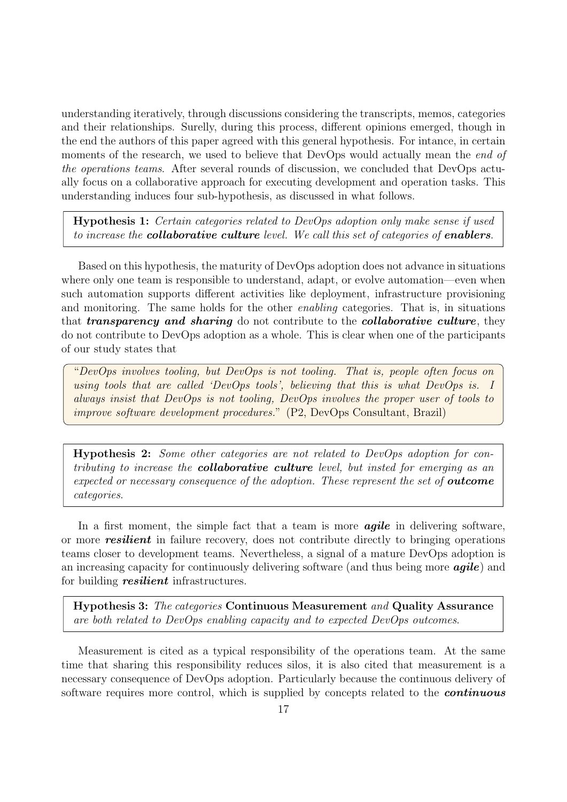understanding iteratively, through discussions considering the transcripts, memos, categories and their relationships. Surelly, during this process, different opinions emerged, though in the end the authors of this paper agreed with this general hypothesis. For intance, in certain moments of the research, we used to believe that DevOps would actually mean the *end of* the operations teams. After several rounds of discussion, we concluded that DevOps actually focus on a collaborative approach for executing development and operation tasks. This understanding induces four sub-hypothesis, as discussed in what follows.

Hypothesis 1: Certain categories related to DevOps adoption only make sense if used to increase the **collaborative culture** level. We call this set of categories of **enablers**.

Based on this hypothesis, the maturity of DevOps adoption does not advance in situations where only one team is responsible to understand, adapt, or evolve automation—even when such automation supports different activities like deployment, infrastructure provisioning and monitoring. The same holds for the other *enabling* categories. That is, in situations that transparency and sharing do not contribute to the collaborative culture, they do not contribute to DevOps adoption as a whole. This is clear when one of the participants of our study states that

"DevOps involves tooling, but DevOps is not tooling. That is, people often focus on using tools that are called 'DevOps tools', believing that this is what DevOps is. I always insist that DevOps is not tooling, DevOps involves the proper user of tools to improve software development procedures." (P2, DevOps Consultant, Brazil)

Hypothesis 2: Some other categories are not related to DevOps adoption for contributing to increase the **collaborative culture** level, but insted for emerging as an expected or necessary consequence of the adoption. These represent the set of **outcome** categories.

In a first moment, the simple fact that a team is more  $\alpha$  *agile* in delivering software, or more **resilient** in failure recovery, does not contribute directly to bringing operations teams closer to development teams. Nevertheless, a signal of a mature DevOps adoption is an increasing capacity for continuously delivering software (and thus being more **agile**) and for building *resilient* infrastructures.

Hypothesis 3: The categories Continuous Measurement and Quality Assurance are both related to DevOps enabling capacity and to expected DevOps outcomes.

Measurement is cited as a typical responsibility of the operations team. At the same time that sharing this responsibility reduces silos, it is also cited that measurement is a necessary consequence of DevOps adoption. Particularly because the continuous delivery of software requires more control, which is supplied by concepts related to the *continuous*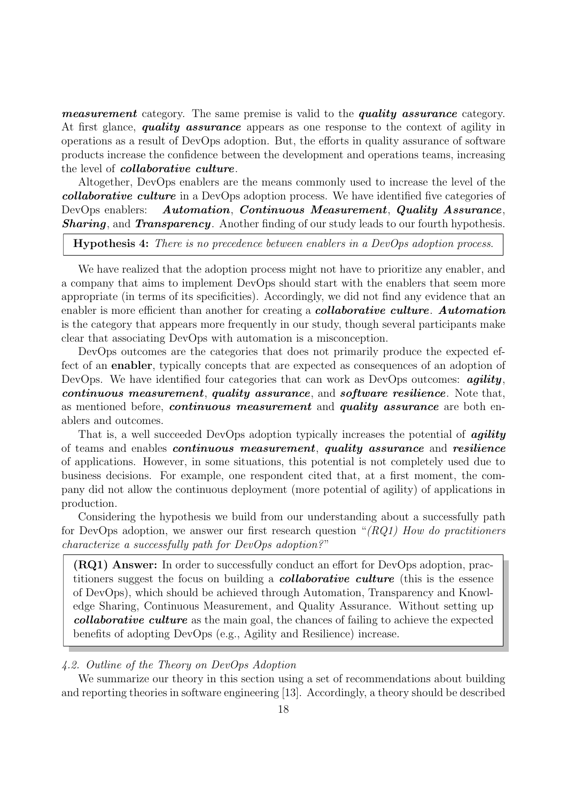measurement category. The same premise is valid to the quality assurance category. At first glance, *quality assurance* appears as one response to the context of agility in operations as a result of DevOps adoption. But, the efforts in quality assurance of software products increase the confidence between the development and operations teams, increasing the level of *collaborative culture*.

Altogether, DevOps enablers are the means commonly used to increase the level of the collaborative culture in a DevOps adoption process. We have identified five categories of DevOps enablers: Automation, Continuous Measurement, Quality Assurance, **Sharing, and Transparency.** Another finding of our study leads to our fourth hypothesis.

Hypothesis 4: There is no precedence between enablers in a DevOps adoption process.

We have realized that the adoption process might not have to prioritize any enabler, and a company that aims to implement DevOps should start with the enablers that seem more appropriate (in terms of its specificities). Accordingly, we did not find any evidence that an enabler is more efficient than another for creating a **collaborative culture**. **Automation** is the category that appears more frequently in our study, though several participants make clear that associating DevOps with automation is a misconception.

DevOps outcomes are the categories that does not primarily produce the expected effect of an enabler, typically concepts that are expected as consequences of an adoption of DevOps. We have identified four categories that can work as DevOps outcomes:  $\frac{agility}{}$ , continuous measurement, quality assurance, and software resilience. Note that, as mentioned before, *continuous measurement* and *quality assurance* are both enablers and outcomes.

That is, a well succeeded DevOps adoption typically increases the potential of **agility** of teams and enables continuous measurement, quality assurance and resilience of applications. However, in some situations, this potential is not completely used due to business decisions. For example, one respondent cited that, at a first moment, the company did not allow the continuous deployment (more potential of agility) of applications in production.

Considering the hypothesis we build from our understanding about a successfully path for DevOps adoption, we answer our first research question " $(RQ1)$  How do practitioners" characterize a successfully path for DevOps adoption?"

(RQ1) Answer: In order to successfully conduct an effort for DevOps adoption, practitioners suggest the focus on building a *collaborative culture* (this is the essence of DevOps), which should be achieved through Automation, Transparency and Knowledge Sharing, Continuous Measurement, and Quality Assurance. Without setting up collaborative culture as the main goal, the chances of failing to achieve the expected benefits of adopting DevOps (e.g., Agility and Resilience) increase.

# 4.2. Outline of the Theory on DevOps Adoption

We summarize our theory in this section using a set of recommendations about building and reporting theories in software engineering [13]. Accordingly, a theory should be described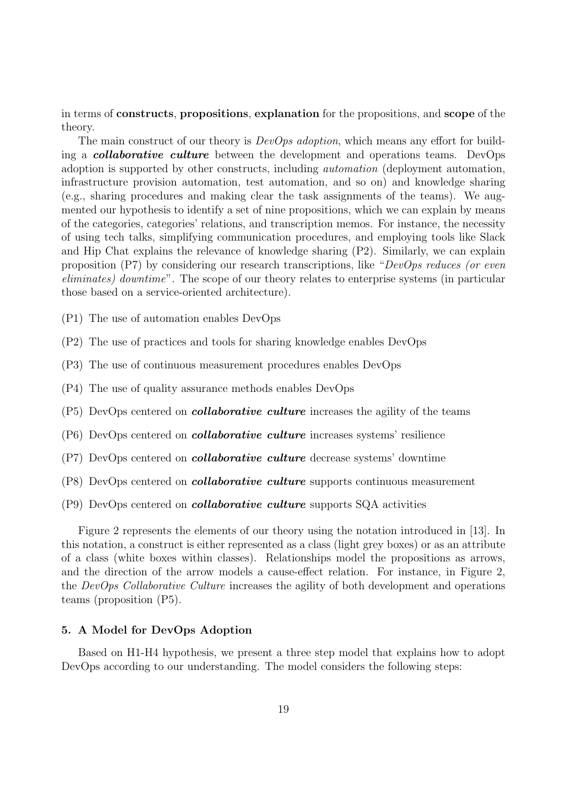in terms of constructs, propositions, explanation for the propositions, and scope of the theory.

The main construct of our theory is  $DevOps$  adoption, which means any effort for building a **collaborative culture** between the development and operations teams. DevOps adoption is supported by other constructs, including *automation* (deployment automation, infrastructure provision automation, test automation, and so on) and knowledge sharing (e.g., sharing procedures and making clear the task assignments of the teams). We augmented our hypothesis to identify a set of nine propositions, which we can explain by means of the categories, categories' relations, and transcription memos. For instance, the necessity of using tech talks, simplifying communication procedures, and employing tools like Slack and Hip Chat explains the relevance of knowledge sharing (P2). Similarly, we can explain proposition (P7) by considering our research transcriptions, like "DevOps reduces (or even eliminates) downtime". The scope of our theory relates to enterprise systems (in particular those based on a service-oriented architecture).

(P1) The use of automation enables DevOps

(P2) The use of practices and tools for sharing knowledge enables DevOps

(P3) The use of continuous measurement procedures enables DevOps

- (P4) The use of quality assurance methods enables DevOps
- $(P5)$  DevOps centered on *collaborative culture* increases the agility of the teams
- $(P6)$  DevOps centered on *collaborative culture* increases systems' resilience
- $(P7)$  DevOps centered on *collaborative culture* decrease systems' downtime
- $(P8)$  DevOps centered on *collaborative culture* supports continuous measurement
- $(P9)$  DevOps centered on *collaborative culture* supports SQA activities

Figure 2 represents the elements of our theory using the notation introduced in [13]. In this notation, a construct is either represented as a class (light grey boxes) or as an attribute of a class (white boxes within classes). Relationships model the propositions as arrows, and the direction of the arrow models a cause-effect relation. For instance, in Figure 2, the DevOps Collaborative Culture increases the agility of both development and operations teams (proposition (P5).

#### 5. A Model for DevOps Adoption

Based on H1-H4 hypothesis, we present a three step model that explains how to adopt DevOps according to our understanding. The model considers the following steps: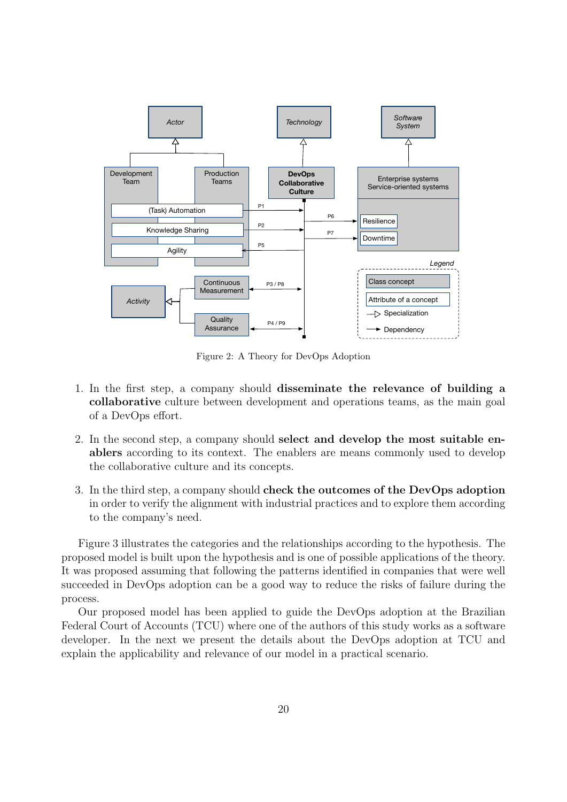

Figure 2: A Theory for DevOps Adoption

- 1. In the first step, a company should disseminate the relevance of building a collaborative culture between development and operations teams, as the main goal of a DevOps effort.
- 2. In the second step, a company should select and develop the most suitable enablers according to its context. The enablers are means commonly used to develop the collaborative culture and its concepts.
- 3. In the third step, a company should check the outcomes of the DevOps adoption in order to verify the alignment with industrial practices and to explore them according to the company's need.

Figure 3 illustrates the categories and the relationships according to the hypothesis. The proposed model is built upon the hypothesis and is one of possible applications of the theory. It was proposed assuming that following the patterns identified in companies that were well succeeded in DevOps adoption can be a good way to reduce the risks of failure during the process.

Our proposed model has been applied to guide the DevOps adoption at the Brazilian Federal Court of Accounts (TCU) where one of the authors of this study works as a software developer. In the next we present the details about the DevOps adoption at TCU and explain the applicability and relevance of our model in a practical scenario.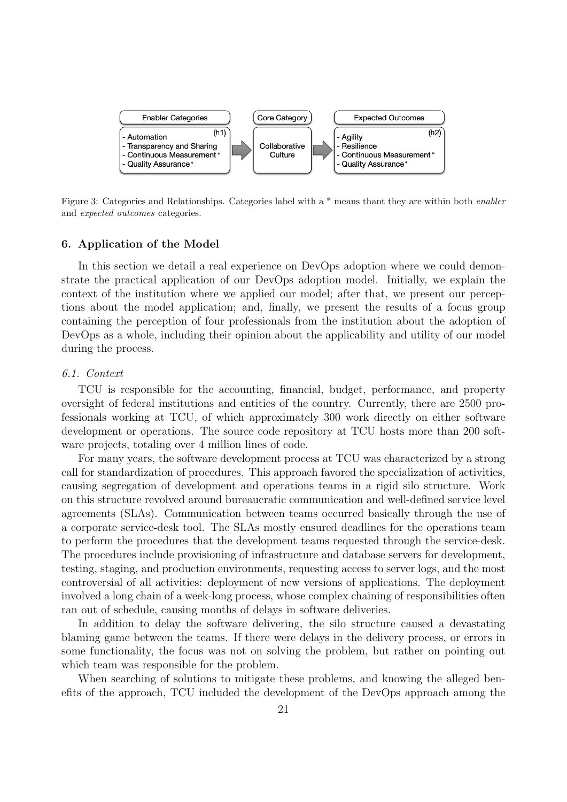

Figure 3: Categories and Relationships. Categories label with a \* means thant they are within both enabler and expected outcomes categories.

# 6. Application of the Model

In this section we detail a real experience on DevOps adoption where we could demonstrate the practical application of our DevOps adoption model. Initially, we explain the context of the institution where we applied our model; after that, we present our perceptions about the model application; and, finally, we present the results of a focus group containing the perception of four professionals from the institution about the adoption of DevOps as a whole, including their opinion about the applicability and utility of our model during the process.

## 6.1. Context

TCU is responsible for the accounting, financial, budget, performance, and property oversight of federal institutions and entities of the country. Currently, there are 2500 professionals working at TCU, of which approximately 300 work directly on either software development or operations. The source code repository at TCU hosts more than 200 software projects, totaling over 4 million lines of code.

For many years, the software development process at TCU was characterized by a strong call for standardization of procedures. This approach favored the specialization of activities, causing segregation of development and operations teams in a rigid silo structure. Work on this structure revolved around bureaucratic communication and well-defined service level agreements (SLAs). Communication between teams occurred basically through the use of a corporate service-desk tool. The SLAs mostly ensured deadlines for the operations team to perform the procedures that the development teams requested through the service-desk. The procedures include provisioning of infrastructure and database servers for development, testing, staging, and production environments, requesting access to server logs, and the most controversial of all activities: deployment of new versions of applications. The deployment involved a long chain of a week-long process, whose complex chaining of responsibilities often ran out of schedule, causing months of delays in software deliveries.

In addition to delay the software delivering, the silo structure caused a devastating blaming game between the teams. If there were delays in the delivery process, or errors in some functionality, the focus was not on solving the problem, but rather on pointing out which team was responsible for the problem.

When searching of solutions to mitigate these problems, and knowing the alleged benefits of the approach, TCU included the development of the DevOps approach among the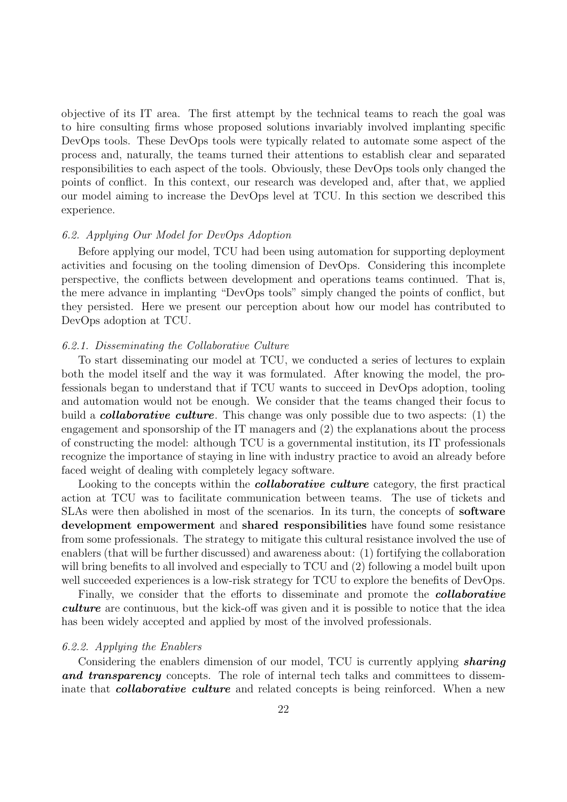objective of its IT area. The first attempt by the technical teams to reach the goal was to hire consulting firms whose proposed solutions invariably involved implanting specific DevOps tools. These DevOps tools were typically related to automate some aspect of the process and, naturally, the teams turned their attentions to establish clear and separated responsibilities to each aspect of the tools. Obviously, these DevOps tools only changed the points of conflict. In this context, our research was developed and, after that, we applied our model aiming to increase the DevOps level at TCU. In this section we described this experience.

# 6.2. Applying Our Model for DevOps Adoption

Before applying our model, TCU had been using automation for supporting deployment activities and focusing on the tooling dimension of DevOps. Considering this incomplete perspective, the conflicts between development and operations teams continued. That is, the mere advance in implanting "DevOps tools" simply changed the points of conflict, but they persisted. Here we present our perception about how our model has contributed to DevOps adoption at TCU.

# 6.2.1. Disseminating the Collaborative Culture

To start disseminating our model at TCU, we conducted a series of lectures to explain both the model itself and the way it was formulated. After knowing the model, the professionals began to understand that if TCU wants to succeed in DevOps adoption, tooling and automation would not be enough. We consider that the teams changed their focus to build a *collaborative culture*. This change was only possible due to two aspects: (1) the engagement and sponsorship of the IT managers and (2) the explanations about the process of constructing the model: although TCU is a governmental institution, its IT professionals recognize the importance of staying in line with industry practice to avoid an already before faced weight of dealing with completely legacy software.

Looking to the concepts within the *collaborative culture* category, the first practical action at TCU was to facilitate communication between teams. The use of tickets and SLAs were then abolished in most of the scenarios. In its turn, the concepts of software development empowerment and shared responsibilities have found some resistance from some professionals. The strategy to mitigate this cultural resistance involved the use of enablers (that will be further discussed) and awareness about: (1) fortifying the collaboration will bring benefits to all involved and especially to TCU and  $(2)$  following a model built upon well succeeded experiences is a low-risk strategy for TCU to explore the benefits of DevOps.

Finally, we consider that the efforts to disseminate and promote the **collaborative** culture are continuous, but the kick-off was given and it is possible to notice that the idea has been widely accepted and applied by most of the involved professionals.

#### 6.2.2. Applying the Enablers

Considering the enablers dimension of our model, TCU is currently applying **sharing** and transparency concepts. The role of internal tech talks and committees to disseminate that *collaborative culture* and related concepts is being reinforced. When a new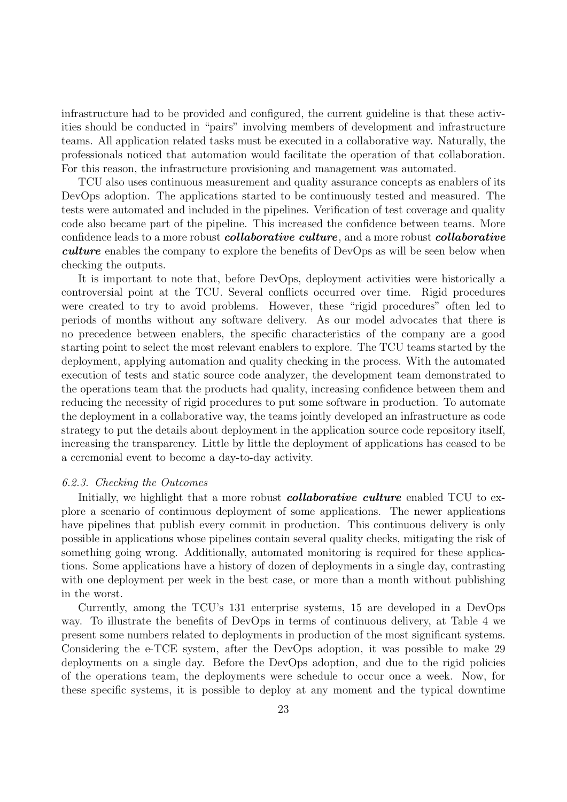infrastructure had to be provided and configured, the current guideline is that these activities should be conducted in "pairs" involving members of development and infrastructure teams. All application related tasks must be executed in a collaborative way. Naturally, the professionals noticed that automation would facilitate the operation of that collaboration. For this reason, the infrastructure provisioning and management was automated.

TCU also uses continuous measurement and quality assurance concepts as enablers of its DevOps adoption. The applications started to be continuously tested and measured. The tests were automated and included in the pipelines. Verification of test coverage and quality code also became part of the pipeline. This increased the confidence between teams. More confidence leads to a more robust *collaborative culture*, and a more robust *collaborative culture* enables the company to explore the benefits of DevOps as will be seen below when checking the outputs.

It is important to note that, before DevOps, deployment activities were historically a controversial point at the TCU. Several conflicts occurred over time. Rigid procedures were created to try to avoid problems. However, these "rigid procedures" often led to periods of months without any software delivery. As our model advocates that there is no precedence between enablers, the specific characteristics of the company are a good starting point to select the most relevant enablers to explore. The TCU teams started by the deployment, applying automation and quality checking in the process. With the automated execution of tests and static source code analyzer, the development team demonstrated to the operations team that the products had quality, increasing confidence between them and reducing the necessity of rigid procedures to put some software in production. To automate the deployment in a collaborative way, the teams jointly developed an infrastructure as code strategy to put the details about deployment in the application source code repository itself, increasing the transparency. Little by little the deployment of applications has ceased to be a ceremonial event to become a day-to-day activity.

# 6.2.3. Checking the Outcomes

Initially, we highlight that a more robust *collaborative culture* enabled TCU to explore a scenario of continuous deployment of some applications. The newer applications have pipelines that publish every commit in production. This continuous delivery is only possible in applications whose pipelines contain several quality checks, mitigating the risk of something going wrong. Additionally, automated monitoring is required for these applications. Some applications have a history of dozen of deployments in a single day, contrasting with one deployment per week in the best case, or more than a month without publishing in the worst.

Currently, among the TCU's 131 enterprise systems, 15 are developed in a DevOps way. To illustrate the benefits of DevOps in terms of continuous delivery, at Table 4 we present some numbers related to deployments in production of the most significant systems. Considering the e-TCE system, after the DevOps adoption, it was possible to make 29 deployments on a single day. Before the DevOps adoption, and due to the rigid policies of the operations team, the deployments were schedule to occur once a week. Now, for these specific systems, it is possible to deploy at any moment and the typical downtime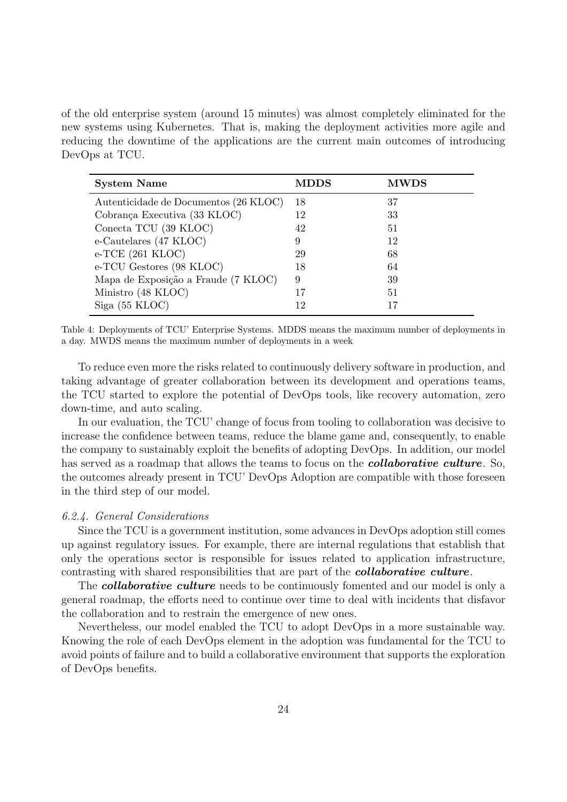of the old enterprise system (around 15 minutes) was almost completely eliminated for the new systems using Kubernetes. That is, making the deployment activities more agile and reducing the downtime of the applications are the current main outcomes of introducing DevOps at TCU.

| <b>System Name</b>                    | <b>MDDS</b> | <b>MWDS</b> |
|---------------------------------------|-------------|-------------|
| Autenticidade de Documentos (26 KLOC) | -18         | 37          |
| Cobrança Executiva (33 KLOC)          | 12          | 33          |
| Conecta TCU (39 KLOC)                 | 42          | 51          |
| e-Cautelares (47 $\rm KLOC)$          | 9           | 12          |
| e-TCE $(261$ KLOC $)$                 | 29          | 68          |
| e-TCU Gestores (98 KLOC)              | 18          | 64          |
| Mapa de Exposição a Fraude (7 KLOC)   | 9           | 39          |
| Ministro (48 KLOC)                    | 17          | 51          |
| Sigma(55 KLOC)                        | 12          |             |

Table 4: Deployments of TCU' Enterprise Systems. MDDS means the maximum number of deployments in a day. MWDS means the maximum number of deployments in a week

To reduce even more the risks related to continuously delivery software in production, and taking advantage of greater collaboration between its development and operations teams, the TCU started to explore the potential of DevOps tools, like recovery automation, zero down-time, and auto scaling.

In our evaluation, the TCU' change of focus from tooling to collaboration was decisive to increase the confidence between teams, reduce the blame game and, consequently, to enable the company to sustainably exploit the benefits of adopting DevOps. In addition, our model has served as a roadmap that allows the teams to focus on the **collaborative culture**. So, the outcomes already present in TCU' DevOps Adoption are compatible with those foreseen in the third step of our model.

## 6.2.4. General Considerations

Since the TCU is a government institution, some advances in DevOps adoption still comes up against regulatory issues. For example, there are internal regulations that establish that only the operations sector is responsible for issues related to application infrastructure, contrasting with shared responsibilities that are part of the **collaborative culture**.

The **collaborative culture** needs to be continuously fomented and our model is only a general roadmap, the efforts need to continue over time to deal with incidents that disfavor the collaboration and to restrain the emergence of new ones.

Nevertheless, our model enabled the TCU to adopt DevOps in a more sustainable way. Knowing the role of each DevOps element in the adoption was fundamental for the TCU to avoid points of failure and to build a collaborative environment that supports the exploration of DevOps benefits.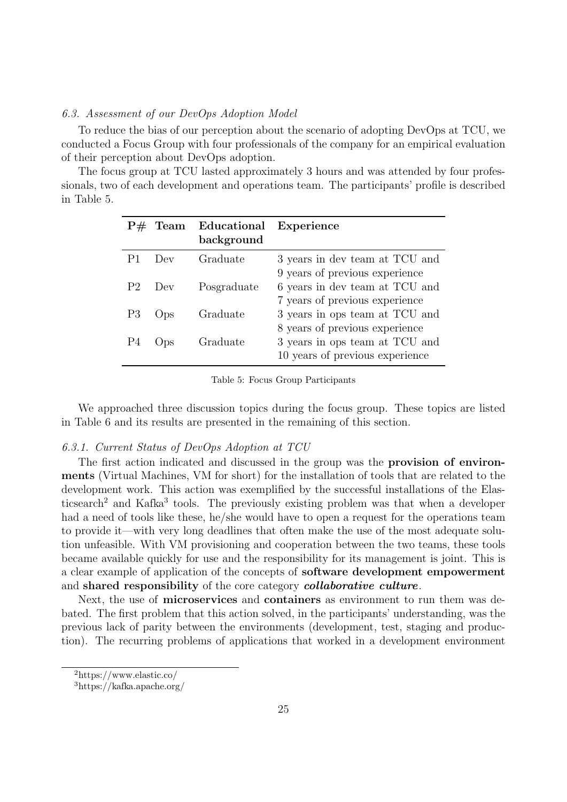#### 6.3. Assessment of our DevOps Adoption Model

To reduce the bias of our perception about the scenario of adopting DevOps at TCU, we conducted a Focus Group with four professionals of the company for an empirical evaluation of their perception about DevOps adoption.

The focus group at TCU lasted approximately 3 hours and was attended by four professionals, two of each development and operations team. The participants' profile is described in Table 5.

| P#             | <b>Team</b> | Educational<br>background | Experience                                                        |
|----------------|-------------|---------------------------|-------------------------------------------------------------------|
| P1             | $1)$ ev     | Graduate                  | 3 years in dev team at TCU and<br>9 years of previous experience  |
| P <sub>2</sub> | Dev         | Posgraduate               | 6 years in dev team at TCU and<br>7 years of previous experience  |
| P3             | Ops         | Graduate                  | 3 years in ops team at TCU and<br>8 years of previous experience  |
| Р4             | Ops         | Graduate                  | 3 years in ops team at TCU and<br>10 years of previous experience |

Table 5: Focus Group Participants

We approached three discussion topics during the focus group. These topics are listed in Table 6 and its results are presented in the remaining of this section.

## 6.3.1. Current Status of DevOps Adoption at TCU

The first action indicated and discussed in the group was the provision of environments (Virtual Machines, VM for short) for the installation of tools that are related to the development work. This action was exemplified by the successful installations of the Elasticsearch<sup>2</sup> and Kafka<sup>3</sup> tools. The previously existing problem was that when a developer had a need of tools like these, he/she would have to open a request for the operations team to provide it—with very long deadlines that often make the use of the most adequate solution unfeasible. With VM provisioning and cooperation between the two teams, these tools became available quickly for use and the responsibility for its management is joint. This is a clear example of application of the concepts of software development empowerment and shared responsibility of the core category *collaborative culture*.

Next, the use of microservices and containers as environment to run them was debated. The first problem that this action solved, in the participants' understanding, was the previous lack of parity between the environments (development, test, staging and production). The recurring problems of applications that worked in a development environment

<sup>2</sup>https://www.elastic.co/

<sup>3</sup>https://kafka.apache.org/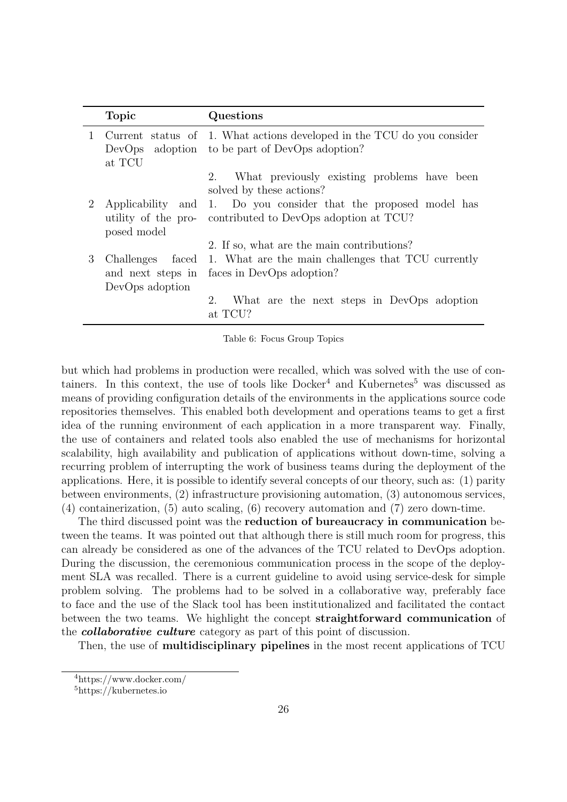|                | <b>Topic</b>        | Questions                                                                |
|----------------|---------------------|--------------------------------------------------------------------------|
|                |                     | 1 Current status of 1. What actions developed in the TCU do you consider |
|                |                     | DevOps adoption to be part of DevOps adoption?                           |
|                | at TCU              |                                                                          |
|                |                     | 2.<br>What previously existing problems have been                        |
|                |                     | solved by these actions?                                                 |
| $\overline{2}$ |                     | Applicability and 1. Do you consider that the proposed model has         |
|                | utility of the pro- | contributed to DevOps adoption at TCU?                                   |
|                | posed model         |                                                                          |
|                |                     | 2. If so, what are the main contributions?                               |
| 3              | Challenges          | faced 1. What are the main challenges that TCU currently                 |
|                | and next steps in   | faces in DevOps adoption?                                                |
|                | DevOps adoption     |                                                                          |
|                |                     | 2.<br>What are the next steps in DevOps adoption                         |
|                |                     | at TCU?                                                                  |

Table 6: Focus Group Topics

but which had problems in production were recalled, which was solved with the use of containers. In this context, the use of tools like  $Docker<sup>4</sup>$  and Kubernetes<sup>5</sup> was discussed as means of providing configuration details of the environments in the applications source code repositories themselves. This enabled both development and operations teams to get a first idea of the running environment of each application in a more transparent way. Finally, the use of containers and related tools also enabled the use of mechanisms for horizontal scalability, high availability and publication of applications without down-time, solving a recurring problem of interrupting the work of business teams during the deployment of the applications. Here, it is possible to identify several concepts of our theory, such as: (1) parity between environments, (2) infrastructure provisioning automation, (3) autonomous services, (4) containerization, (5) auto scaling, (6) recovery automation and (7) zero down-time.

The third discussed point was the reduction of bureaucracy in communication between the teams. It was pointed out that although there is still much room for progress, this can already be considered as one of the advances of the TCU related to DevOps adoption. During the discussion, the ceremonious communication process in the scope of the deployment SLA was recalled. There is a current guideline to avoid using service-desk for simple problem solving. The problems had to be solved in a collaborative way, preferably face to face and the use of the Slack tool has been institutionalized and facilitated the contact between the two teams. We highlight the concept straightforward communication of the **collaborative culture** category as part of this point of discussion.

Then, the use of multidisciplinary pipelines in the most recent applications of TCU

<sup>4</sup>https://www.docker.com/

<sup>5</sup>https://kubernetes.io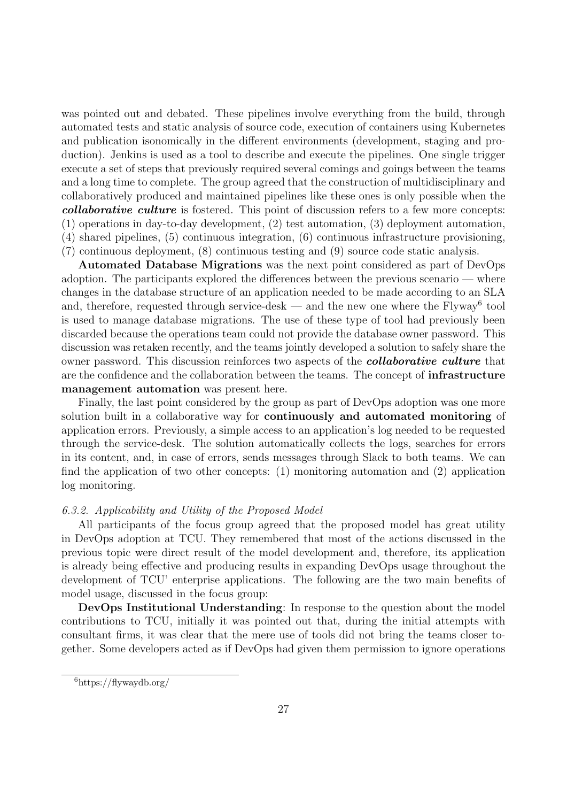was pointed out and debated. These pipelines involve everything from the build, through automated tests and static analysis of source code, execution of containers using Kubernetes and publication isonomically in the different environments (development, staging and production). Jenkins is used as a tool to describe and execute the pipelines. One single trigger execute a set of steps that previously required several comings and goings between the teams and a long time to complete. The group agreed that the construction of multidisciplinary and collaboratively produced and maintained pipelines like these ones is only possible when the collaborative culture is fostered. This point of discussion refers to a few more concepts: (1) operations in day-to-day development, (2) test automation, (3) deployment automation, (4) shared pipelines, (5) continuous integration, (6) continuous infrastructure provisioning, (7) continuous deployment, (8) continuous testing and (9) source code static analysis.

Automated Database Migrations was the next point considered as part of DevOps adoption. The participants explored the differences between the previous scenario — where changes in the database structure of an application needed to be made according to an SLA and, therefore, requested through service-desk — and the new one where the Flyway<sup>6</sup> tool is used to manage database migrations. The use of these type of tool had previously been discarded because the operations team could not provide the database owner password. This discussion was retaken recently, and the teams jointly developed a solution to safely share the owner password. This discussion reinforces two aspects of the **collaborative culture** that are the confidence and the collaboration between the teams. The concept of infrastructure management automation was present here.

Finally, the last point considered by the group as part of DevOps adoption was one more solution built in a collaborative way for continuously and automated monitoring of application errors. Previously, a simple access to an application's log needed to be requested through the service-desk. The solution automatically collects the logs, searches for errors in its content, and, in case of errors, sends messages through Slack to both teams. We can find the application of two other concepts: (1) monitoring automation and (2) application log monitoring.

## 6.3.2. Applicability and Utility of the Proposed Model

All participants of the focus group agreed that the proposed model has great utility in DevOps adoption at TCU. They remembered that most of the actions discussed in the previous topic were direct result of the model development and, therefore, its application is already being effective and producing results in expanding DevOps usage throughout the development of TCU' enterprise applications. The following are the two main benefits of model usage, discussed in the focus group:

DevOps Institutional Understanding: In response to the question about the model contributions to TCU, initially it was pointed out that, during the initial attempts with consultant firms, it was clear that the mere use of tools did not bring the teams closer together. Some developers acted as if DevOps had given them permission to ignore operations

 $6$ https://flywaydb.org/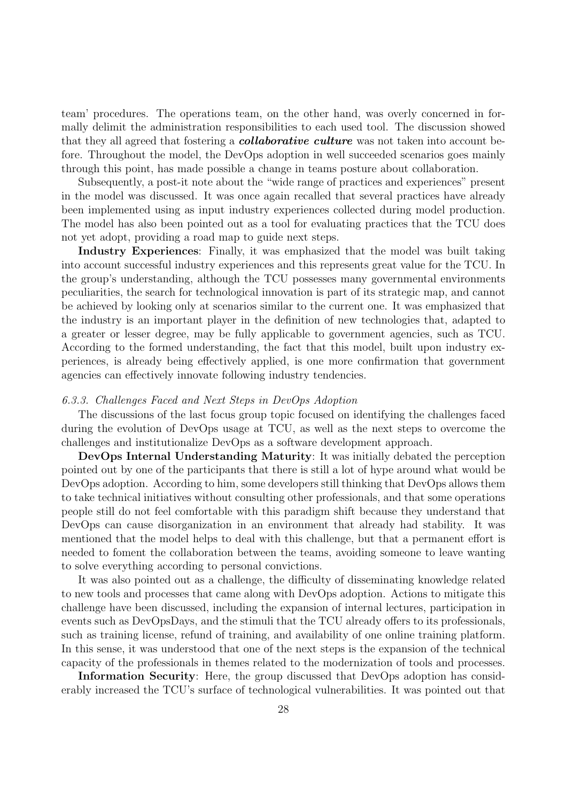team' procedures. The operations team, on the other hand, was overly concerned in formally delimit the administration responsibilities to each used tool. The discussion showed that they all agreed that fostering a *collaborative culture* was not taken into account before. Throughout the model, the DevOps adoption in well succeeded scenarios goes mainly through this point, has made possible a change in teams posture about collaboration.

Subsequently, a post-it note about the "wide range of practices and experiences" present in the model was discussed. It was once again recalled that several practices have already been implemented using as input industry experiences collected during model production. The model has also been pointed out as a tool for evaluating practices that the TCU does not yet adopt, providing a road map to guide next steps.

Industry Experiences: Finally, it was emphasized that the model was built taking into account successful industry experiences and this represents great value for the TCU. In the group's understanding, although the TCU possesses many governmental environments peculiarities, the search for technological innovation is part of its strategic map, and cannot be achieved by looking only at scenarios similar to the current one. It was emphasized that the industry is an important player in the definition of new technologies that, adapted to a greater or lesser degree, may be fully applicable to government agencies, such as TCU. According to the formed understanding, the fact that this model, built upon industry experiences, is already being effectively applied, is one more confirmation that government agencies can effectively innovate following industry tendencies.

#### 6.3.3. Challenges Faced and Next Steps in DevOps Adoption

The discussions of the last focus group topic focused on identifying the challenges faced during the evolution of DevOps usage at TCU, as well as the next steps to overcome the challenges and institutionalize DevOps as a software development approach.

DevOps Internal Understanding Maturity: It was initially debated the perception pointed out by one of the participants that there is still a lot of hype around what would be DevOps adoption. According to him, some developers still thinking that DevOps allows them to take technical initiatives without consulting other professionals, and that some operations people still do not feel comfortable with this paradigm shift because they understand that DevOps can cause disorganization in an environment that already had stability. It was mentioned that the model helps to deal with this challenge, but that a permanent effort is needed to foment the collaboration between the teams, avoiding someone to leave wanting to solve everything according to personal convictions.

It was also pointed out as a challenge, the difficulty of disseminating knowledge related to new tools and processes that came along with DevOps adoption. Actions to mitigate this challenge have been discussed, including the expansion of internal lectures, participation in events such as DevOpsDays, and the stimuli that the TCU already offers to its professionals, such as training license, refund of training, and availability of one online training platform. In this sense, it was understood that one of the next steps is the expansion of the technical capacity of the professionals in themes related to the modernization of tools and processes.

Information Security: Here, the group discussed that DevOps adoption has considerably increased the TCU's surface of technological vulnerabilities. It was pointed out that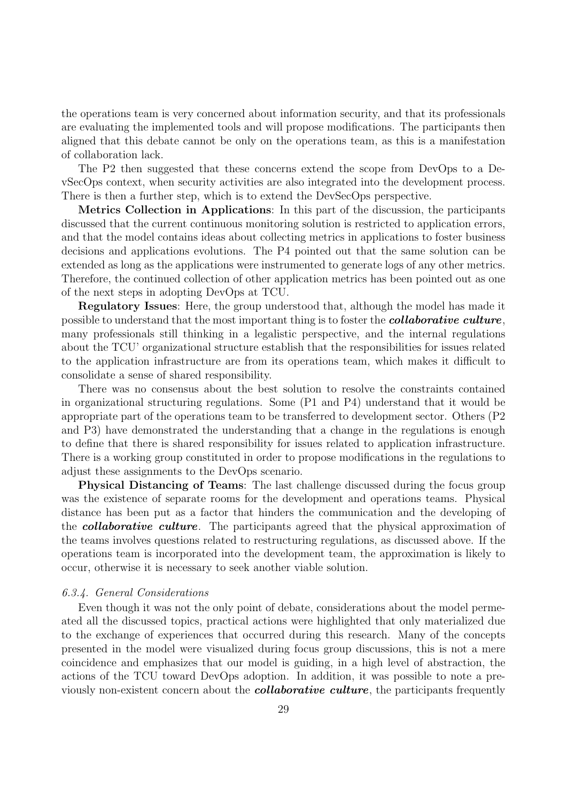the operations team is very concerned about information security, and that its professionals are evaluating the implemented tools and will propose modifications. The participants then aligned that this debate cannot be only on the operations team, as this is a manifestation of collaboration lack.

The P2 then suggested that these concerns extend the scope from DevOps to a DevSecOps context, when security activities are also integrated into the development process. There is then a further step, which is to extend the DevSecOps perspective.

Metrics Collection in Applications: In this part of the discussion, the participants discussed that the current continuous monitoring solution is restricted to application errors, and that the model contains ideas about collecting metrics in applications to foster business decisions and applications evolutions. The P4 pointed out that the same solution can be extended as long as the applications were instrumented to generate logs of any other metrics. Therefore, the continued collection of other application metrics has been pointed out as one of the next steps in adopting DevOps at TCU.

Regulatory Issues: Here, the group understood that, although the model has made it possible to understand that the most important thing is to foster the **collaborative culture**, many professionals still thinking in a legalistic perspective, and the internal regulations about the TCU' organizational structure establish that the responsibilities for issues related to the application infrastructure are from its operations team, which makes it difficult to consolidate a sense of shared responsibility.

There was no consensus about the best solution to resolve the constraints contained in organizational structuring regulations. Some (P1 and P4) understand that it would be appropriate part of the operations team to be transferred to development sector. Others (P2 and P3) have demonstrated the understanding that a change in the regulations is enough to define that there is shared responsibility for issues related to application infrastructure. There is a working group constituted in order to propose modifications in the regulations to adjust these assignments to the DevOps scenario.

Physical Distancing of Teams: The last challenge discussed during the focus group was the existence of separate rooms for the development and operations teams. Physical distance has been put as a factor that hinders the communication and the developing of the **collaborative culture**. The participants agreed that the physical approximation of the teams involves questions related to restructuring regulations, as discussed above. If the operations team is incorporated into the development team, the approximation is likely to occur, otherwise it is necessary to seek another viable solution.

#### 6.3.4. General Considerations

Even though it was not the only point of debate, considerations about the model permeated all the discussed topics, practical actions were highlighted that only materialized due to the exchange of experiences that occurred during this research. Many of the concepts presented in the model were visualized during focus group discussions, this is not a mere coincidence and emphasizes that our model is guiding, in a high level of abstraction, the actions of the TCU toward DevOps adoption. In addition, it was possible to note a previously non-existent concern about the **collaborative culture**, the participants frequently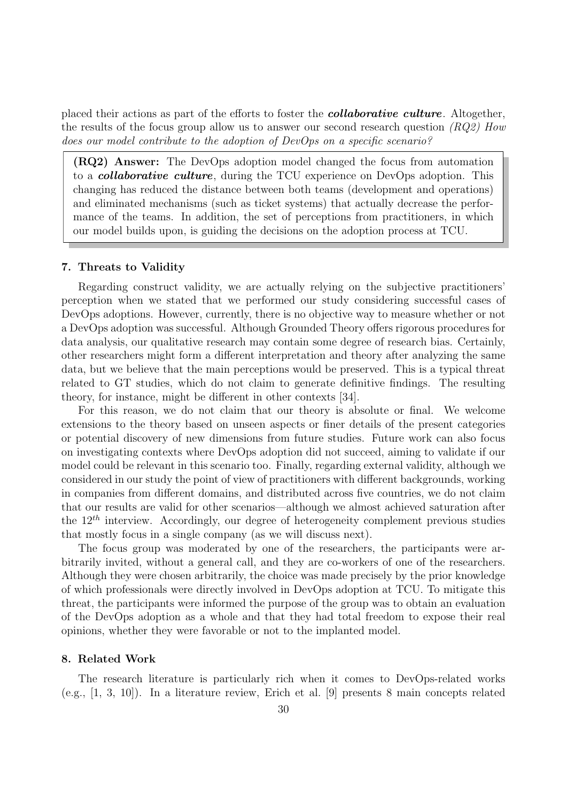placed their actions as part of the efforts to foster the **collaborative culture**. Altogether, the results of the focus group allow us to answer our second research question  $(RQ2)$  How does our model contribute to the adoption of DevOps on a specific scenario?

(RQ2) Answer: The DevOps adoption model changed the focus from automation to a *collaborative culture*, during the TCU experience on DevOps adoption. This changing has reduced the distance between both teams (development and operations) and eliminated mechanisms (such as ticket systems) that actually decrease the performance of the teams. In addition, the set of perceptions from practitioners, in which our model builds upon, is guiding the decisions on the adoption process at TCU.

#### 7. Threats to Validity

Regarding construct validity, we are actually relying on the subjective practitioners' perception when we stated that we performed our study considering successful cases of DevOps adoptions. However, currently, there is no objective way to measure whether or not a DevOps adoption was successful. Although Grounded Theory offers rigorous procedures for data analysis, our qualitative research may contain some degree of research bias. Certainly, other researchers might form a different interpretation and theory after analyzing the same data, but we believe that the main perceptions would be preserved. This is a typical threat related to GT studies, which do not claim to generate definitive findings. The resulting theory, for instance, might be different in other contexts [34].

For this reason, we do not claim that our theory is absolute or final. We welcome extensions to the theory based on unseen aspects or finer details of the present categories or potential discovery of new dimensions from future studies. Future work can also focus on investigating contexts where DevOps adoption did not succeed, aiming to validate if our model could be relevant in this scenario too. Finally, regarding external validity, although we considered in our study the point of view of practitioners with different backgrounds, working in companies from different domains, and distributed across five countries, we do not claim that our results are valid for other scenarios—although we almost achieved saturation after the  $12^{th}$  interview. Accordingly, our degree of heterogeneity complement previous studies that mostly focus in a single company (as we will discuss next).

The focus group was moderated by one of the researchers, the participants were arbitrarily invited, without a general call, and they are co-workers of one of the researchers. Although they were chosen arbitrarily, the choice was made precisely by the prior knowledge of which professionals were directly involved in DevOps adoption at TCU. To mitigate this threat, the participants were informed the purpose of the group was to obtain an evaluation of the DevOps adoption as a whole and that they had total freedom to expose their real opinions, whether they were favorable or not to the implanted model.

#### 8. Related Work

The research literature is particularly rich when it comes to DevOps-related works (e.g., [1, 3, 10]). In a literature review, Erich et al. [9] presents 8 main concepts related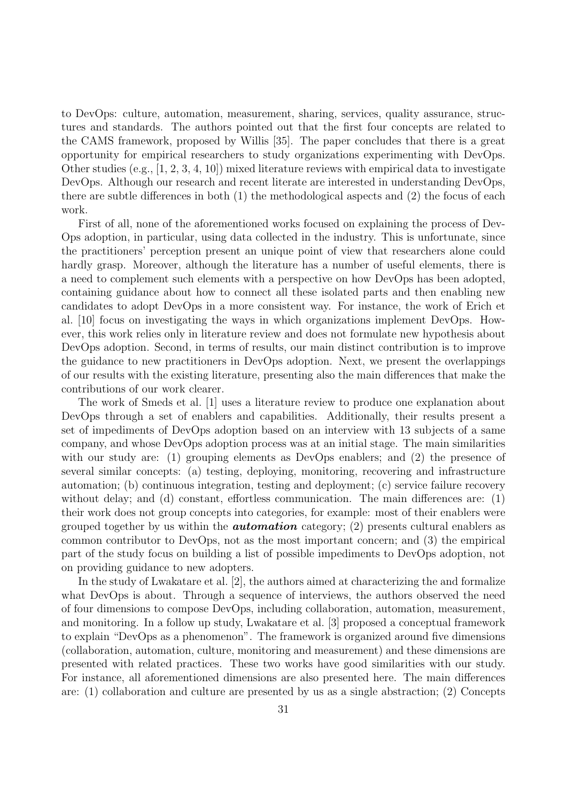to DevOps: culture, automation, measurement, sharing, services, quality assurance, structures and standards. The authors pointed out that the first four concepts are related to the CAMS framework, proposed by Willis [35]. The paper concludes that there is a great opportunity for empirical researchers to study organizations experimenting with DevOps. Other studies (e.g., [1, 2, 3, 4, 10]) mixed literature reviews with empirical data to investigate DevOps. Although our research and recent literate are interested in understanding DevOps, there are subtle differences in both (1) the methodological aspects and (2) the focus of each work.

First of all, none of the aforementioned works focused on explaining the process of Dev-Ops adoption, in particular, using data collected in the industry. This is unfortunate, since the practitioners' perception present an unique point of view that researchers alone could hardly grasp. Moreover, although the literature has a number of useful elements, there is a need to complement such elements with a perspective on how DevOps has been adopted, containing guidance about how to connect all these isolated parts and then enabling new candidates to adopt DevOps in a more consistent way. For instance, the work of Erich et al. [10] focus on investigating the ways in which organizations implement DevOps. However, this work relies only in literature review and does not formulate new hypothesis about DevOps adoption. Second, in terms of results, our main distinct contribution is to improve the guidance to new practitioners in DevOps adoption. Next, we present the overlappings of our results with the existing literature, presenting also the main differences that make the contributions of our work clearer.

The work of Smeds et al. [1] uses a literature review to produce one explanation about DevOps through a set of enablers and capabilities. Additionally, their results present a set of impediments of DevOps adoption based on an interview with 13 subjects of a same company, and whose DevOps adoption process was at an initial stage. The main similarities with our study are: (1) grouping elements as DevOps enablers; and (2) the presence of several similar concepts: (a) testing, deploying, monitoring, recovering and infrastructure automation; (b) continuous integration, testing and deployment; (c) service failure recovery without delay; and (d) constant, effortless communication. The main differences are: (1) their work does not group concepts into categories, for example: most of their enablers were grouped together by us within the **automation** category; (2) presents cultural enablers as common contributor to DevOps, not as the most important concern; and (3) the empirical part of the study focus on building a list of possible impediments to DevOps adoption, not on providing guidance to new adopters.

In the study of Lwakatare et al. [2], the authors aimed at characterizing the and formalize what DevOps is about. Through a sequence of interviews, the authors observed the need of four dimensions to compose DevOps, including collaboration, automation, measurement, and monitoring. In a follow up study, Lwakatare et al. [3] proposed a conceptual framework to explain "DevOps as a phenomenon". The framework is organized around five dimensions (collaboration, automation, culture, monitoring and measurement) and these dimensions are presented with related practices. These two works have good similarities with our study. For instance, all aforementioned dimensions are also presented here. The main differences are: (1) collaboration and culture are presented by us as a single abstraction; (2) Concepts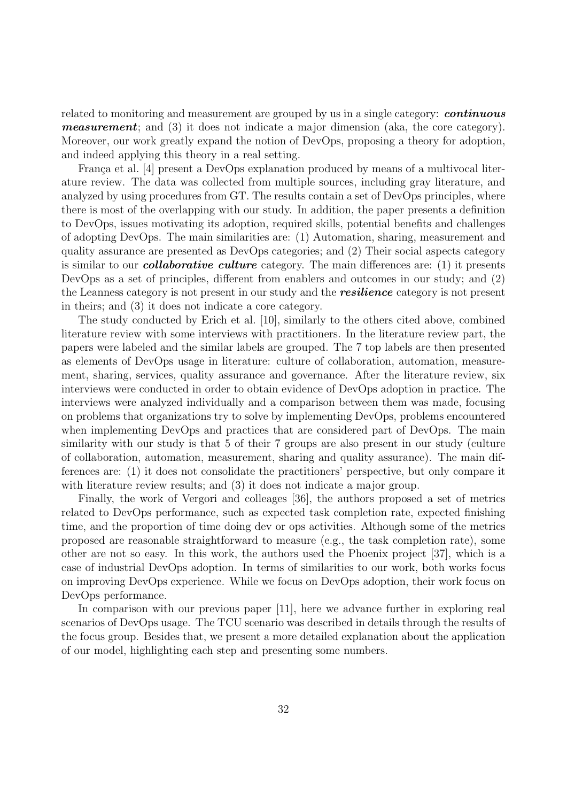related to monitoring and measurement are grouped by us in a single category: *continuous* measurement; and (3) it does not indicate a major dimension (aka, the core category). Moreover, our work greatly expand the notion of DevOps, proposing a theory for adoption, and indeed applying this theory in a real setting.

França et al. [4] present a DevOps explanation produced by means of a multivocal literature review. The data was collected from multiple sources, including gray literature, and analyzed by using procedures from GT. The results contain a set of DevOps principles, where there is most of the overlapping with our study. In addition, the paper presents a definition to DevOps, issues motivating its adoption, required skills, potential benefits and challenges of adopting DevOps. The main similarities are: (1) Automation, sharing, measurement and quality assurance are presented as DevOps categories; and (2) Their social aspects category is similar to our *collaborative culture* category. The main differences are: (1) it presents DevOps as a set of principles, different from enablers and outcomes in our study; and (2) the Leanness category is not present in our study and the **resilience** category is not present in theirs; and (3) it does not indicate a core category.

The study conducted by Erich et al. [10], similarly to the others cited above, combined literature review with some interviews with practitioners. In the literature review part, the papers were labeled and the similar labels are grouped. The 7 top labels are then presented as elements of DevOps usage in literature: culture of collaboration, automation, measurement, sharing, services, quality assurance and governance. After the literature review, six interviews were conducted in order to obtain evidence of DevOps adoption in practice. The interviews were analyzed individually and a comparison between them was made, focusing on problems that organizations try to solve by implementing DevOps, problems encountered when implementing DevOps and practices that are considered part of DevOps. The main similarity with our study is that 5 of their 7 groups are also present in our study (culture of collaboration, automation, measurement, sharing and quality assurance). The main differences are: (1) it does not consolidate the practitioners' perspective, but only compare it with literature review results; and (3) it does not indicate a major group.

Finally, the work of Vergori and colleages [36], the authors proposed a set of metrics related to DevOps performance, such as expected task completion rate, expected finishing time, and the proportion of time doing dev or ops activities. Although some of the metrics proposed are reasonable straightforward to measure (e.g., the task completion rate), some other are not so easy. In this work, the authors used the Phoenix project [37], which is a case of industrial DevOps adoption. In terms of similarities to our work, both works focus on improving DevOps experience. While we focus on DevOps adoption, their work focus on DevOps performance.

In comparison with our previous paper [11], here we advance further in exploring real scenarios of DevOps usage. The TCU scenario was described in details through the results of the focus group. Besides that, we present a more detailed explanation about the application of our model, highlighting each step and presenting some numbers.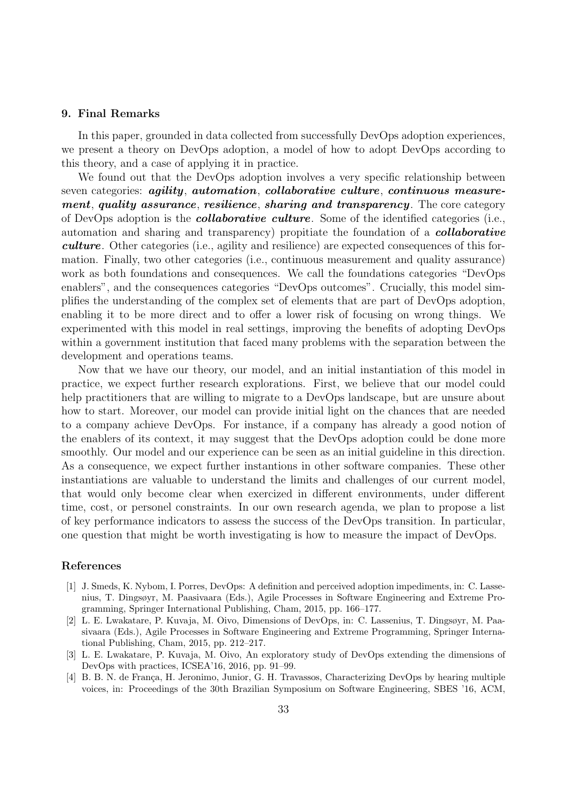## 9. Final Remarks

In this paper, grounded in data collected from successfully DevOps adoption experiences, we present a theory on DevOps adoption, a model of how to adopt DevOps according to this theory, and a case of applying it in practice.

We found out that the DevOps adoption involves a very specific relationship between seven categories: *agility*, *automation*, *collaborative culture*, *continuous measure*ment, quality assurance, resilience, sharing and transparency. The core category of DevOps adoption is the **collaborative culture**. Some of the identified categories (i.e., automation and sharing and transparency) propitiate the foundation of a **collaborative** culture. Other categories (i.e., agility and resilience) are expected consequences of this formation. Finally, two other categories (i.e., continuous measurement and quality assurance) work as both foundations and consequences. We call the foundations categories "DevOps enablers", and the consequences categories "DevOps outcomes". Crucially, this model simplifies the understanding of the complex set of elements that are part of DevOps adoption, enabling it to be more direct and to offer a lower risk of focusing on wrong things. We experimented with this model in real settings, improving the benefits of adopting DevOps within a government institution that faced many problems with the separation between the development and operations teams.

Now that we have our theory, our model, and an initial instantiation of this model in practice, we expect further research explorations. First, we believe that our model could help practitioners that are willing to migrate to a DevOps landscape, but are unsure about how to start. Moreover, our model can provide initial light on the chances that are needed to a company achieve DevOps. For instance, if a company has already a good notion of the enablers of its context, it may suggest that the DevOps adoption could be done more smoothly. Our model and our experience can be seen as an initial guideline in this direction. As a consequence, we expect further instantions in other software companies. These other instantiations are valuable to understand the limits and challenges of our current model, that would only become clear when exercized in different environments, under different time, cost, or personel constraints. In our own research agenda, we plan to propose a list of key performance indicators to assess the success of the DevOps transition. In particular, one question that might be worth investigating is how to measure the impact of DevOps.

#### References

- [1] J. Smeds, K. Nybom, I. Porres, DevOps: A definition and perceived adoption impediments, in: C. Lassenius, T. Dingsøyr, M. Paasivaara (Eds.), Agile Processes in Software Engineering and Extreme Programming, Springer International Publishing, Cham, 2015, pp. 166–177.
- [2] L. E. Lwakatare, P. Kuvaja, M. Oivo, Dimensions of DevOps, in: C. Lassenius, T. Dingsøyr, M. Paasivaara (Eds.), Agile Processes in Software Engineering and Extreme Programming, Springer International Publishing, Cham, 2015, pp. 212–217.
- [3] L. E. Lwakatare, P. Kuvaja, M. Oivo, An exploratory study of DevOps extending the dimensions of DevOps with practices, ICSEA'16, 2016, pp. 91–99.
- [4] B. B. N. de França, H. Jeronimo, Junior, G. H. Travassos, Characterizing DevOps by hearing multiple voices, in: Proceedings of the 30th Brazilian Symposium on Software Engineering, SBES '16, ACM,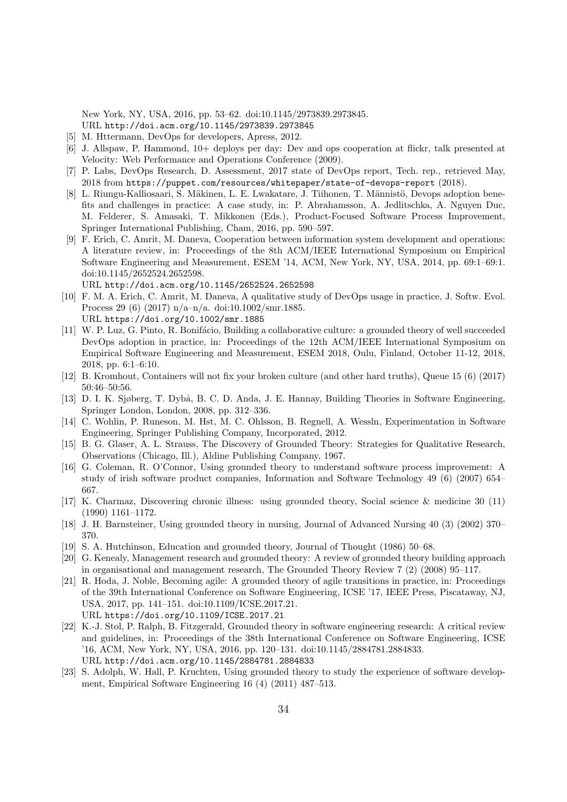New York, NY, USA, 2016, pp. 53–62. doi:10.1145/2973839.2973845.

- URL http://doi.acm.org/10.1145/2973839.2973845
- [5] M. Httermann, DevOps for developers, Apress, 2012.
- [6] J. Allspaw, P. Hammond, 10+ deploys per day: Dev and ops cooperation at flickr, talk presented at Velocity: Web Performance and Operations Conference (2009).
- [7] P. Labs, DevOps Research, D. Assessment, 2017 state of DevOps report, Tech. rep., retrieved May, 2018 from https://puppet.com/resources/whitepaper/state-of-devops-report (2018).
- [8] L. Riungu-Kalliosaari, S. Mäkinen, L. E. Lwakatare, J. Tiihonen, T. Männistö, Devops adoption benefits and challenges in practice: A case study, in: P. Abrahamsson, A. Jedlitschka, A. Nguyen Duc, M. Felderer, S. Amasaki, T. Mikkonen (Eds.), Product-Focused Software Process Improvement, Springer International Publishing, Cham, 2016, pp. 590–597.
- [9] F. Erich, C. Amrit, M. Daneva, Cooperation between information system development and operations: A literature review, in: Proceedings of the 8th ACM/IEEE International Symposium on Empirical Software Engineering and Measurement, ESEM '14, ACM, New York, NY, USA, 2014, pp. 69:1–69:1. doi:10.1145/2652524.2652598.
	- URL http://doi.acm.org/10.1145/2652524.2652598
- [10] F. M. A. Erich, C. Amrit, M. Daneva, A qualitative study of DevOps usage in practice, J. Softw. Evol. Process 29 (6) (2017) n/a–n/a. doi:10.1002/smr.1885. URL https://doi.org/10.1002/smr.1885
- [11] W. P. Luz, G. Pinto, R. Bonifácio, Building a collaborative culture: a grounded theory of well succeeded DevOps adoption in practice, in: Proceedings of the 12th ACM/IEEE International Symposium on Empirical Software Engineering and Measurement, ESEM 2018, Oulu, Finland, October 11-12, 2018, 2018, pp. 6:1–6:10.
- [12] B. Kromhout, Containers will not fix your broken culture (and other hard truths), Queue 15 (6) (2017) 50:46–50:56.
- [13] D. I. K. Sjøberg, T. Dybå, B. C. D. Anda, J. E. Hannay, Building Theories in Software Engineering, Springer London, London, 2008, pp. 312–336.
- [14] C. Wohlin, P. Runeson, M. Hst, M. C. Ohlsson, B. Regnell, A. Wessln, Experimentation in Software Engineering, Springer Publishing Company, Incorporated, 2012.
- [15] B. G. Glaser, A. L. Strauss, The Discovery of Grounded Theory: Strategies for Qualitative Research, Observations (Chicago, Ill.), Aldine Publishing Company, 1967.
- [16] G. Coleman, R. O'Connor, Using grounded theory to understand software process improvement: A study of irish software product companies, Information and Software Technology 49 (6) (2007) 654– 667.
- [17] K. Charmaz, Discovering chronic illness: using grounded theory, Social science & medicine 30 (11) (1990) 1161–1172.
- [18] J. H. Barnsteiner, Using grounded theory in nursing, Journal of Advanced Nursing 40 (3) (2002) 370– 370.
- [19] S. A. Hutchinson, Education and grounded theory, Journal of Thought (1986) 50–68.
- [20] G. Kenealy, Management research and grounded theory: A review of grounded theory building approach in organisational and management research, The Grounded Theory Review 7 (2) (2008) 95–117.
- [21] R. Hoda, J. Noble, Becoming agile: A grounded theory of agile transitions in practice, in: Proceedings of the 39th International Conference on Software Engineering, ICSE '17, IEEE Press, Piscataway, NJ, USA, 2017, pp. 141–151. doi:10.1109/ICSE.2017.21. URL https://doi.org/10.1109/ICSE.2017.21
- [22] K.-J. Stol, P. Ralph, B. Fitzgerald, Grounded theory in software engineering research: A critical review and guidelines, in: Proceedings of the 38th International Conference on Software Engineering, ICSE '16, ACM, New York, NY, USA, 2016, pp. 120–131. doi:10.1145/2884781.2884833. URL http://doi.acm.org/10.1145/2884781.2884833
- [23] S. Adolph, W. Hall, P. Kruchten, Using grounded theory to study the experience of software development, Empirical Software Engineering 16 (4) (2011) 487–513.